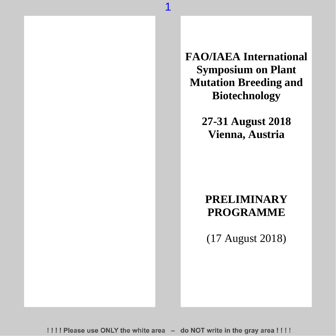**FAO/IAEA International Symposium on Plant Mutation Breeding and Biotechnology**

> **27-31 August 2018 Vienna, Austria**

### **PRELIMINARY PROGRAMME**

(17 August 2018)

!!!! Please use ONLY the white area - do NOT write in the gray area !!!!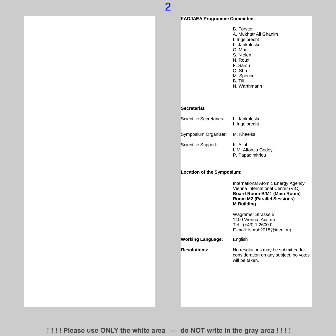#### **FAO/IAEA Programme Committee:**

B. Forster A. Mukhtar Ali Ghanim I. Ingelbrecht L. Jankuloski C. Mba S. Nielen N. Roux F. Sarsu Q. Shu M. Spencer B. Till N. Warthmann

#### **Secretariat:**

| Scientific Secretaries: | L. Jankuloski<br>I. Ingelbrecht                    |
|-------------------------|----------------------------------------------------|
| Symposium Organizer:    | M. Khaelss                                         |
| Scientific Support:     | K. Allaf<br>L.M. Alfonzo Godoy<br>P. Papadimitriou |

#### **Location of the Symposium:**

International Atomic Energy Agency Vienna International Center (VIC) **Board Room B/M1 (Main Room) Room M2 (Parallel Sessions) M Building**

Wagramer Strasse 5 1400 Vienna, Austria [Tel.: \(+43\)](tel:(+43)) 1 2600 0 E-mail[: ismbb2018@iaea.org](mailto:ismbb2018@iaea.org)

**Working Language:** English

**Resolutions:** No resolutions may be submitted for consideration on any subject; no votes will be taken.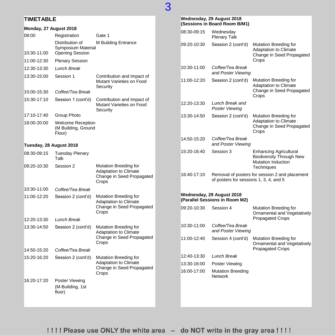### **TIMETABLE**

#### **Monday, 27 August 2018**

|                         | iviiuuy, 41 August 4010                                   |                                                                                             |
|-------------------------|-----------------------------------------------------------|---------------------------------------------------------------------------------------------|
| 08:00                   | Registration                                              | Gate 1                                                                                      |
| 10:30-11:00             | Distribution of<br>Symposium Material<br>Opening Session  | M Building Entrance                                                                         |
| 11:00-12:30             | <b>Plenary Session</b>                                    |                                                                                             |
| 12:30-13:30             | Lunch Break                                               |                                                                                             |
| 13:30-15:00             | Session 1                                                 | Contribution and Impact of<br>Mutant Varieties on Food<br>Security                          |
| 15:00-15:30             | Coffee/Tea Break                                          |                                                                                             |
| 15:30-17:10             | Session 1 (cont'd)                                        | Contribution and Impact of<br>Mutant Varieties on Food<br>Security                          |
| 17:10-17:40             | Group Photo                                               |                                                                                             |
| 18:00-20:00             | <b>Welcome Reception</b><br>(M Building, Ground<br>Floor) |                                                                                             |
| Tuesday, 28 August 2018 |                                                           |                                                                                             |
| 08:30-09:15             | <b>Tuesday Plenary</b><br>Talk                            |                                                                                             |
| 09:20-10:30             | Session 2                                                 | Mutation Breeding for<br>Adaptation to Climate<br>Change in Seed Propagated<br>Crops        |
| 10:30-11:00             | Coffee/Tea Break                                          |                                                                                             |
| 11:00-12:20             | Session 2 (cont'd)                                        | Mutation Breeding for<br>Adaptation to Climate<br>Change in Seed Propagated<br>Crops        |
| 12:20-13:30             | Lunch Break                                               |                                                                                             |
| 13:30-14.50             | Session 2 (cont'd)                                        | Mutation Breeding for<br><b>Adaptation to Climate</b><br>Change in Seed Propagated<br>Crops |
| 14:50-15:20             | Coffee/Tea Break                                          |                                                                                             |
| 15:20-16:20             | Session 2 (cont'd)                                        | Mutation Breeding for<br><b>Adaptation to Climate</b><br>Change in Seed Propagated<br>Crops |
| 16:20-17:20             | Poster Viewing<br>(M-Building, 1st<br>floor)              |                                                                                             |

|             | Wednesday, 29 August 2018<br>(Sessions in Board Room B/M1)  |                                                                                                      |
|-------------|-------------------------------------------------------------|------------------------------------------------------------------------------------------------------|
| 08:30-09:15 | Wednesday<br><b>Plenary Talk</b>                            |                                                                                                      |
| 09:20-10:30 | Session 2 (cont'd)                                          | Mutation Breeding for<br>Adaptation to Climate<br>Change in Seed Propagated<br>Crops                 |
| 10:30-11:00 | Coffee/Tea Break<br>and Poster Viewing                      |                                                                                                      |
| 11:00-12:20 | Session 2 (cont'd)                                          | Mutation Breeding for<br>Adaptation to Climate<br>Change in Seed Propagated<br>Crops                 |
| 12:20-13:30 | Lunch Break and<br>Poster Viewing                           |                                                                                                      |
| 13:30-14:50 | Session 2 (cont'd)                                          | Mutation Breeding for<br><b>Adaptation to Climate</b><br>Change in Seed Propagated<br>Crops          |
| 14:50-15:20 | Coffee/Tea Break<br>and Poster Viewing                      |                                                                                                      |
| 15:20-16:40 | Session 3                                                   | <b>Enhancing Agricultural</b><br><b>Biodiversity Through New</b><br>Mutation Induction<br>Techniques |
| 16:40-17:10 | of posters for sessions 1, 3, 4, and 5                      | Removal of posters for session 2 and placement                                                       |
|             | Wednesday, 29 August 2018<br>(Parallel Sessions in Room M2) |                                                                                                      |
| 09:20-10:30 | Session 4                                                   | Mutation Breeding for<br>Ornamental and Vegetatively<br><b>Propagated Crops</b>                      |
| 10:30-11:00 | Coffee/Tea Break<br>and Poster Viewing                      |                                                                                                      |
| 11:00-12:40 | Session 4 (cont'd)                                          | Mutation Breeding for<br>Ornamental and Vegetatively<br><b>Propagated Crops</b>                      |
| 12:40-13:30 | <b>Lunch Break</b>                                          |                                                                                                      |
| 13:30-16:00 | Poster Viewing                                              |                                                                                                      |
| 16:00-17:00 | <b>Mutation Breeding</b><br><b>Network</b>                  |                                                                                                      |
|             |                                                             |                                                                                                      |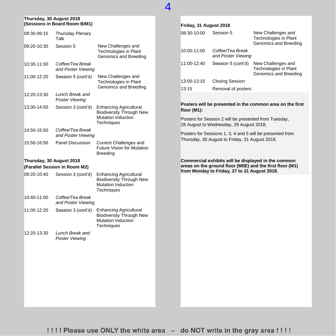#### **Thursday, 30 August 2018 (Sessions in Board Room B/M1)**

| 08:30-09:15              | <b>Thursday Plenary</b><br>Talk        |                                                                                                                    |
|--------------------------|----------------------------------------|--------------------------------------------------------------------------------------------------------------------|
| 09:20-10:30              | Session 5                              | New Challenges and<br>Technologies in Plant<br>Genomics and Breeding                                               |
| 10:30-11:00              | Coffee/Tea Break<br>and Poster Viewing |                                                                                                                    |
| 11:00-12:20              | Session 5 (cont'd)                     | New Challenges and<br><b>Technologies in Plant</b><br>Genomics and Breeding                                        |
| 12:20-13:30              | Lunch Break and<br>Poster Viewing      |                                                                                                                    |
| 13:30-14:50              | Session 3 (cont'd)                     | <b>Enhancing Agricultural</b><br><b>Biodiversity Through New</b><br>Mutation Induction<br>Techniques               |
| 14:50-15:50              | Coffee/Tea Break<br>and Poster Viewing |                                                                                                                    |
| 15:50-16:50              | Panel Discussion                       | <b>Current Challenges and</b><br><b>Future Vision for Mutation</b><br><b>Breeding</b>                              |
| Thursday, 30 August 2018 |                                        |                                                                                                                    |
|                          | (Parallel Session in Room M2)          |                                                                                                                    |
| 09:20-10:40              | Session 3 (cont'd)                     | <b>Enhancing Agricultural</b><br><b>Biodiversity Through New</b><br><b>Mutation Induction</b><br><b>Techniques</b> |
| 10:40-11:00              | Coffee/Tea Break<br>and Poster Viewing |                                                                                                                    |
| 11:00-12:20              | Session 3 (cont'd)                     | <b>Enhancing Agricultural</b><br><b>Biodiversity Through New</b><br><b>Mutation Induction</b><br><b>Techniques</b> |
| 12:20-13:30              | Lunch Break and<br>Poster Viewing      |                                                                                                                    |
|                          |                                        |                                                                                                                    |
|                          |                                        |                                                                                                                    |
|                          |                                        |                                                                                                                    |

#### **Friday, 31 August 2018**

| 08:30-10:00 | Session 5                              | New Challenges and<br>Technologies in Plant<br>Genomics and Breeding |
|-------------|----------------------------------------|----------------------------------------------------------------------|
| 10:00-11:00 | Coffee/Tea Break<br>and Poster Viewing |                                                                      |
| 11:00-12:40 | Session 5 (cont'd)                     | New Challenges and<br>Technologies in Plant<br>Genomics and Breeding |
| 13:00-13:15 | <b>Closing Session</b>                 |                                                                      |
| 13:15       | Removal of posters                     |                                                                      |

**Posters will be presented in the common area on the first floor (M1):**

Posters for Session 2 will be presented from Tuesday, 28 August to Wednesday, 29 August 2018.

Posters for Sessions 1, 3, 4 and 5 will be presented from Thursday, 30 August to Friday, 31 August 2018.

**Commercial exhibits will be displayed in the common areas on the ground floor (M0E) and the first floor (M1) from Monday to Friday, 27 to 31 August 2018.**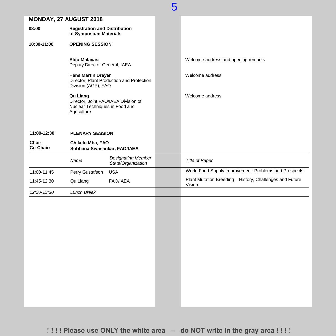|                        |                                                                                                   | 5 |                                                                    |
|------------------------|---------------------------------------------------------------------------------------------------|---|--------------------------------------------------------------------|
| MONDAY, 27 AUGUST 2018 |                                                                                                   |   |                                                                    |
| 08:00                  | <b>Registration and Distribution</b><br>of Symposium Materials                                    |   |                                                                    |
| 10:30-11:00            | <b>OPENING SESSION</b>                                                                            |   |                                                                    |
|                        | Aldo Malavasi<br>Deputy Director General, IAEA                                                    |   | Welcome address and opening remarks                                |
|                        | <b>Hans Martin Dreyer</b><br>Director, Plant Production and Protection<br>Division (AGP), FAO     |   | Welcome address                                                    |
|                        | Qu Liang<br>Director, Joint FAO/IAEA Division of<br>Nuclear Techniques in Food and<br>Agriculture |   | Welcome address                                                    |
| 11:00-12:30            | <b>PLENARY SESSION</b>                                                                            |   |                                                                    |
| Chair:<br>Co-Chair:    | Chikelu Mba, FAO<br>Sobhana Sivasankar, FAO/IAEA                                                  |   |                                                                    |
|                        | <b>Designating Member</b><br>Name<br>State/Organization                                           |   | <b>Title of Paper</b>                                              |
| 11:00-11:45            | Perry Gustafson<br><b>USA</b>                                                                     |   | World Food Supply Improvement: Problems and Prospects              |
| 11:45-12:30            | <b>FAO/IAEA</b><br>Qu Liang                                                                       |   | Plant Mutation Breeding - History, Challenges and Future<br>Vision |
| 12:30-13:30            | Lunch Break                                                                                       |   |                                                                    |
|                        |                                                                                                   |   |                                                                    |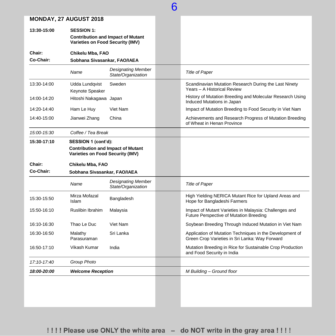| 13:30-15:00         | <b>SESSION 1:</b><br><b>Varieties on Food Security (IMV)</b>                                               | <b>Contribution and Impact of Mutant</b>        |                                                                                                            |
|---------------------|------------------------------------------------------------------------------------------------------------|-------------------------------------------------|------------------------------------------------------------------------------------------------------------|
| Chair:<br>Co-Chair: | Chikelu Mba, FAO<br>Sobhana Sivasankar, FAO/IAEA                                                           |                                                 |                                                                                                            |
|                     | Name                                                                                                       | <b>Designating Member</b><br>State/Organization | <b>Title of Paper</b>                                                                                      |
| 13:30-14:00         | Udda Lundqvist<br>Keynote Speaker                                                                          | Sweden                                          | Scandinavian Mutation Research During the Last Ninety<br>Years - A Historical Review                       |
| 14:00-14:20         | Hitoshi Nakagawa Japan                                                                                     |                                                 | History of Mutation Breeding and Molecular Research Using<br>Induced Mutations in Japan                    |
| 14:20-14:40         | Ham Le Huy                                                                                                 | Viet Nam                                        | Impact of Mutation Breeding to Food Security in Viet Nam                                                   |
| 14:40-15:00         | Jianwei Zhang                                                                                              | China                                           | Achievements and Research Progress of Mutation Breeding<br>of Wheat in Henan Province                      |
| 15:00-15:30         | Coffee / Tea Break                                                                                         |                                                 |                                                                                                            |
| 15:30-17:10         | SESSION 1 (cont'd):<br><b>Contribution and Impact of Mutant</b><br><b>Varieties on Food Security (IMV)</b> |                                                 |                                                                                                            |
| Chair:              | Chikelu Mba, FAO                                                                                           |                                                 |                                                                                                            |
| Co-Chair:           | Sobhana Sivasankar, FAO/IAEA                                                                               |                                                 |                                                                                                            |
|                     | Name                                                                                                       | <b>Designating Member</b><br>State/Organization | <b>Title of Paper</b>                                                                                      |
| 15:30-15:50         | Mirza Mofazal<br>Islam                                                                                     | Bangladesh                                      | High Yielding NERICA Mutant Rice for Upland Areas and<br>Hope for Bangladeshi Farmers                      |
| 15:50-16:10         | <b>Ruslibin Ibrahim</b>                                                                                    | Malaysia                                        | Impact of Mutant Varieties in Malaysia: Challenges and<br><b>Future Perspective of Mutation Breeding</b>   |
| 16:10-16:30         | Thao Le Duc                                                                                                | Viet Nam                                        | Soybean Breeding Through Induced Mutation in Viet Nam                                                      |
| 16:30-16:50         | Malathy<br>Parasuraman                                                                                     | Sri Lanka                                       | Application of Mutation Techniques in the Development of<br>Green Crop Varieties in Sri Lanka: Way Forward |
|                     | Vikash Kumar                                                                                               | India                                           | Mutation Breeding in Rice for Sustainable Crop Production<br>and Food Security in India                    |
| 16:50-17:10         |                                                                                                            |                                                 |                                                                                                            |
| 17:10-17:40         | Group Photo                                                                                                |                                                 |                                                                                                            |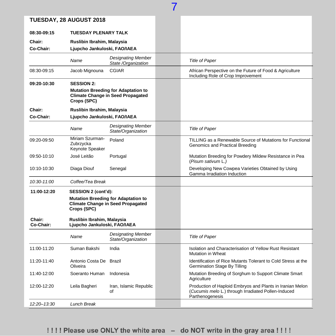|                     | TUESDAY, 28 AUGUST 2018                                    |                                                                                        |                                                                                                                                     |
|---------------------|------------------------------------------------------------|----------------------------------------------------------------------------------------|-------------------------------------------------------------------------------------------------------------------------------------|
| 08:30-09:15         | <b>TUESDAY PLENARY TALK</b>                                |                                                                                        |                                                                                                                                     |
| Chair:              | Ruslibin Ibrahim, Malaysia                                 |                                                                                        |                                                                                                                                     |
| Co-Chair:           | Ljupcho Jankuloski, FAO/IAEA                               |                                                                                        |                                                                                                                                     |
|                     | Name                                                       | <b>Designating Member</b><br>State /Organization                                       | <b>Title of Paper</b>                                                                                                               |
| 08:30-09:15         | Jacob Mignouna                                             | <b>CGIAR</b>                                                                           | African Perspective on the Future of Food & Agriculture<br>Including Role of Crop Improvement                                       |
| 09:20-10:30         | <b>SESSION 2:</b>                                          |                                                                                        |                                                                                                                                     |
|                     | Crops (SPC)                                                | <b>Mutation Breeding for Adaptation to</b><br><b>Climate Change in Seed Propagated</b> |                                                                                                                                     |
| Chair:              | Ruslibin Ibrahim, Malaysia                                 |                                                                                        |                                                                                                                                     |
| Co-Chair:           | Ljupcho Jankuloski, FAO/IAEA                               |                                                                                        |                                                                                                                                     |
|                     | Name                                                       | <b>Designating Member</b><br>State/Organization                                        | <b>Title of Paper</b>                                                                                                               |
| 09:20-09:50         | Miriam Szurman-<br>Zubrzycka<br>Keynote Speaker            | Poland                                                                                 | TILLING as a Renewable Source of Mutations for Functional<br>Genomics and Practical Breeding                                        |
| 09:50-10:10         | José Leitão                                                | Portugal                                                                               | Mutation Breeding for Powdery Mildew Resistance in Pea<br>(Pisum sativum L.)                                                        |
| 10:10-10:30         | Diaga Diouf                                                | Senegal                                                                                | Developing New Cowpea Varieties Obtained by Using<br>Gamma Irradiation Induction                                                    |
| 10:30-11:00         | Coffee/Tea Break                                           |                                                                                        |                                                                                                                                     |
| 11:00-12:20         | SESSION 2 (cont'd):                                        |                                                                                        |                                                                                                                                     |
|                     | Crops (SPC)                                                | <b>Mutation Breeding for Adaptation to</b><br><b>Climate Change in Seed Propagated</b> |                                                                                                                                     |
| Chair:<br>Co-Chair: | Ruslibin Ibrahim, Malaysia<br>Ljupcho Jankuloski, FAO/IAEA |                                                                                        |                                                                                                                                     |
|                     | Name                                                       | <b>Designating Member</b><br>State/Organization                                        | <b>Title of Paper</b>                                                                                                               |
| 11:00-11:20         | Suman Bakshi                                               | India                                                                                  | Isolation and Characterisation of Yellow Rust Resistant<br><b>Mutation in Wheat</b>                                                 |
| 11:20-11:40         | Antonio Costa De Brazil<br>Oliveira                        |                                                                                        | Identification of Rice Mutants Tolerant to Cold Stress at the<br>Germination Stage By Tilling                                       |
| 11:40-12:00         | Soeranto Human                                             | Indonesia                                                                              | Mutation Breeding of Sorghum to Support Climate Smart<br>Agriculture                                                                |
| 12:00-12:20         | Leila Bagheri                                              | Iran, Islamic Republic<br>οf                                                           | Production of Haploid Embryos and Plants in Iranian Melon<br>(Cucumis melo L.) through Irradiated Pollen-Induced<br>Parthenogenesis |
| $12.20 - 13.30$     | Lunch Break                                                |                                                                                        |                                                                                                                                     |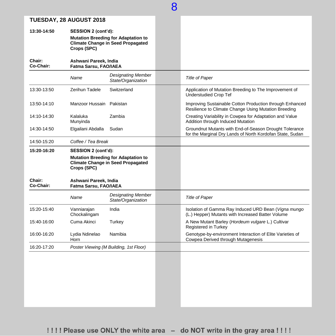|                     |                                                |                                                                                        | 8 |                                                                                                                     |
|---------------------|------------------------------------------------|----------------------------------------------------------------------------------------|---|---------------------------------------------------------------------------------------------------------------------|
|                     | TUESDAY, 28 AUGUST 2018                        |                                                                                        |   |                                                                                                                     |
| 13:30-14:50         | SESSION 2 (cont'd):<br>Crops (SPC)             | <b>Mutation Breeding for Adaptation to</b><br><b>Climate Change in Seed Propagated</b> |   |                                                                                                                     |
| Chair:<br>Co-Chair: | Ashwani Pareek, India<br>Fatma Sarsu, FAO/IAEA |                                                                                        |   |                                                                                                                     |
|                     | Name                                           | <b>Designating Member</b><br>State/Organization                                        |   | <b>Title of Paper</b>                                                                                               |
| 13:30-13:50         | Zerihun Tadele                                 | Switzerland                                                                            |   | Application of Mutation Breeding to The Improvement of<br><b>Understudied Crop Tef</b>                              |
| 13:50-14:10         | Manzoor Hussain                                | Pakistan                                                                               |   | Improving Sustainable Cotton Production through Enhanced<br>Resilience to Climate Change Using Mutation Breeding    |
| 14:10-14:30         | Kalaluka<br>Munyinda                           | Zambia                                                                                 |   | Creating Variability in Cowpea for Adaptation and Value<br>Addition through Induced Mutation                        |
| 14:30-14:50         | Elgailani Abdalla                              | Sudan                                                                                  |   | Groundnut Mutants with End-of-Season Drought Tolerance<br>for the Marginal Dry Lands of North Kordofan State, Sudan |
| 14:50-15:20         | Coffee / Tea Break                             |                                                                                        |   |                                                                                                                     |
| 15:20-16:20         | SESSION 2 (cont'd):<br>Crops (SPC)             | <b>Mutation Breeding for Adaptation to</b><br><b>Climate Change in Seed Propagated</b> |   |                                                                                                                     |
| Chair:<br>Co-Chair: | Ashwani Pareek, India<br>Fatma Sarsu, FAO/IAEA |                                                                                        |   |                                                                                                                     |
|                     | Name                                           | <b>Designating Member</b><br>State/Organization                                        |   | <b>Title of Paper</b>                                                                                               |
| 15:20-15:40         | Vanniarajan<br>Chockalingam                    | India                                                                                  |   | Isolation of Gamma Ray Induced URD Bean (Vigna mungo<br>(L.) Hepper) Mutants with Increased Batter Volume           |
| 15:40-16:00         | Cuma Akinci                                    | Turkey                                                                                 |   | A New Mutant Barley (Hordeum vulgare L.) Cultivar<br>Registered in Turkey                                           |
| 16:00-16:20         | Lydia Ndinelao<br>Horn                         | Namibia                                                                                |   | Genotype-by-environment Interaction of Elite Varieties of<br>Cowpea Derived through Mutagenesis                     |
| 16:20-17:20         |                                                | Poster Viewing (M Building, 1st Floor)                                                 |   |                                                                                                                     |
|                     |                                                |                                                                                        |   |                                                                                                                     |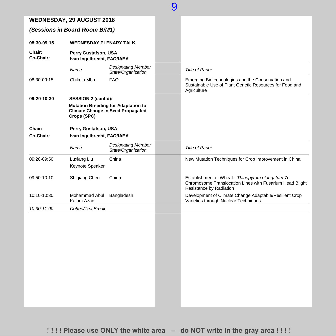|                     | <b>WEDNESDAY, 29 AUGUST 2018</b>                   |                                                                                        |                                                                                                                                         |
|---------------------|----------------------------------------------------|----------------------------------------------------------------------------------------|-----------------------------------------------------------------------------------------------------------------------------------------|
|                     | (Sessions in Board Room B/M1)                      |                                                                                        |                                                                                                                                         |
| 08:30-09:15         | <b>WEDNESDAY PLENARY TALK</b>                      |                                                                                        |                                                                                                                                         |
| Chair:<br>Co-Chair: | Perry Gustafson, USA<br>Ivan Ingelbrecht, FAO/IAEA |                                                                                        |                                                                                                                                         |
|                     | Name                                               | <b>Designating Member</b><br>State/Organization                                        | <b>Title of Paper</b>                                                                                                                   |
| 08:30-09:15         | Chikelu Mba                                        | <b>FAO</b>                                                                             | Emerging Biotechnologies and the Conservation and<br>Sustainable Use of Plant Genetic Resources for Food and<br>Agriculture             |
| 09:20-10:30         | SESSION 2 (cont'd):                                |                                                                                        |                                                                                                                                         |
|                     | Crops (SPC)                                        | <b>Mutation Breeding for Adaptation to</b><br><b>Climate Change in Seed Propagated</b> |                                                                                                                                         |
| Chair:              | Perry Gustafson, USA                               |                                                                                        |                                                                                                                                         |
| Co-Chair:           | Ivan Ingelbrecht, FAO/IAEA                         |                                                                                        |                                                                                                                                         |
|                     | Name                                               | <b>Designating Member</b><br>State/Organization                                        | <b>Title of Paper</b>                                                                                                                   |
| 09:20-09:50         | Luxiang Liu                                        | China                                                                                  | New Mutation Techniques for Crop Improvement in China                                                                                   |
|                     | Keynote Speaker                                    |                                                                                        |                                                                                                                                         |
| 09:50-10:10         | Shiqiang Chen                                      | China                                                                                  | Establishment of Wheat - Thinopyrum elongatum 7e<br>Chromosome Translocation Lines with Fusarium Head Blight<br>Resistance by Radiation |
| 10:10-10:30         | Mohammad Abul<br>Kalam Azad                        | Bangladesh                                                                             | Development of Climate Change Adaptable/Resilient Crop<br>Varieties through Nuclear Techniques                                          |
| 10:30-11:00         | Coffee/Tea Break                                   |                                                                                        |                                                                                                                                         |
|                     |                                                    |                                                                                        |                                                                                                                                         |

 $\overline{Q}$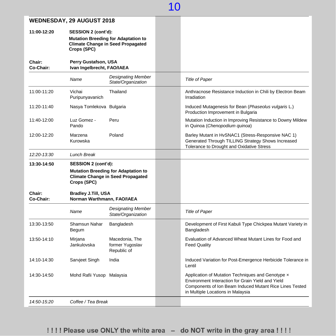|                     | WEDNESDAY, 29 AUGUST 2018                                |                                                                                        |                                                                                                                                                                                                        |
|---------------------|----------------------------------------------------------|----------------------------------------------------------------------------------------|--------------------------------------------------------------------------------------------------------------------------------------------------------------------------------------------------------|
| 11:00-12:20         | SESSION 2 (cont'd):<br>Crops (SPC)                       | <b>Mutation Breeding for Adaptation to</b><br><b>Climate Change in Seed Propagated</b> |                                                                                                                                                                                                        |
| Chair:<br>Co-Chair: | Perry Gustafson, USA<br>Ivan Ingelbrecht, FAO/IAEA       |                                                                                        |                                                                                                                                                                                                        |
|                     | Name                                                     | <b>Designating Member</b><br>State/Organization                                        | <b>Title of Paper</b>                                                                                                                                                                                  |
| 11:00-11:20         | Vichai<br>Puripunyavanich                                | Thailand                                                                               | Anthracnose Resistance Induction in Chili by Electron Beam<br>Irradiation                                                                                                                              |
| 11:20-11:40         | Nasya Tomlekova Bulgaria                                 |                                                                                        | Induced Mutagenesis for Bean (Phaseolus vulgaris L.)<br>Production Improvement in Bulgaria                                                                                                             |
| 11:40-12:00         | Luz Gomez -<br>Pando                                     | Peru                                                                                   | Mutation Induction in Improving Resistance to Downy Mildew<br>in Quinoa (Chenopodium quinoa)                                                                                                           |
| 12:00-12:20         | Marzena<br>Kurowska                                      | Poland                                                                                 | Barley Mutant in HvSNAC1 (Stress-Responsive NAC 1)<br>Generated Through TILLING Strategy Shows Increased<br>Tolerance to Drought and Oxidative Stress                                                  |
| 12:20-13:30         | <b>Lunch Break</b>                                       |                                                                                        |                                                                                                                                                                                                        |
| 13:30-14:50         | SESSION 2 (cont'd):<br>Crops (SPC)                       | <b>Mutation Breeding for Adaptation to</b><br><b>Climate Change in Seed Propagated</b> |                                                                                                                                                                                                        |
| Chair:<br>Co-Chair: | <b>Bradley J.Till, USA</b><br>Norman Warthmann, FAO/IAEA |                                                                                        |                                                                                                                                                                                                        |
|                     | Name                                                     | <b>Designating Member</b><br>State/Organization                                        | <b>Title of Paper</b>                                                                                                                                                                                  |
| 13:30-13:50         | Shamsun Nahar<br>Begum                                   | Bangladesh                                                                             | Development of First Kabuli Type Chickpea Mutant Variety in<br>Bangladesh                                                                                                                              |
| 13:50-14:10         | Mirjana<br>Jankulovska                                   | Macedonia, The<br>former Yugoslav<br>Republic of                                       | Evaluation of Advanced Wheat Mutant Lines for Food and<br><b>Feed Quality</b>                                                                                                                          |
| 14:10-14:30         | Sarvjeet Singh                                           | India                                                                                  | Induced Variation for Post-Emergence Herbicide Tolerance in<br>Lentil                                                                                                                                  |
| 14:30-14:50         | Mohd Rafii Yusop Malaysia                                |                                                                                        | Application of Mutation Techniques and Genotype x<br>Environment Interaction for Grain Yield and Yield<br>Components of Ion Beam Induced Mutant Rice Lines Tested<br>in Multiple Locations in Malaysia |
| 14:50-15:20         | Coffee / Tea Break                                       |                                                                                        |                                                                                                                                                                                                        |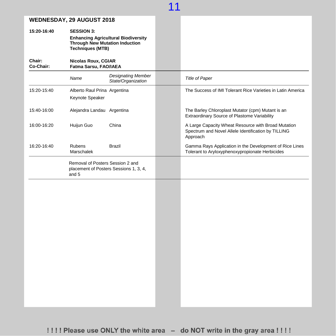| <b>WEDNESDAY, 29 AUGUST 2018</b> |  |
|----------------------------------|--|
|----------------------------------|--|

| WEDNESDAY, 29 AUGUST 2018 |                                                                                                                                                                                            |                                          |                                                                                                                        |
|---------------------------|--------------------------------------------------------------------------------------------------------------------------------------------------------------------------------------------|------------------------------------------|------------------------------------------------------------------------------------------------------------------------|
| 15:20-16:40               | <b>SESSION 3:</b><br><b>Enhancing Agricultural Biodiversity</b><br><b>Through New Mutation Induction</b><br><b>Techniques (MTB)</b><br><b>Nicolas Roux, CGIAR</b><br>Fatma Sarsu, FAO/IAEA |                                          |                                                                                                                        |
| Chair:<br>Co-Chair:       |                                                                                                                                                                                            |                                          |                                                                                                                        |
|                           | Name                                                                                                                                                                                       | Designating Member<br>State/Organization | <b>Title of Paper</b>                                                                                                  |
| 15:20-15:40               | Alberto Raul Prina Argentina<br>Keynote Speaker                                                                                                                                            |                                          | The Success of IMI Tolerant Rice Varieties in Latin America                                                            |
| 15:40-16:00               | Alejandra Landau Argentina                                                                                                                                                                 |                                          | The Barley Chloroplast Mutator (cpm) Mutant is an<br>Extraordinary Source of Plastome Variability                      |
| 16:00-16:20               | Huijun Guo                                                                                                                                                                                 | China                                    | A Large Capacity Wheat Resource with Broad Mutation<br>Spectrum and Novel Allele Identification by TILLING<br>Approach |
| 16:20-16:40               | Rubens<br>Marschalek                                                                                                                                                                       | Brazil                                   | Gamma Rays Application in the Development of Rice Lines<br>Tolerant to Aryloxyphenoxypropionate Herbicides             |
|                           | Removal of Posters Session 2 and<br>and 5                                                                                                                                                  | placement of Posters Sessions 1, 3, 4,   |                                                                                                                        |
|                           |                                                                                                                                                                                            |                                          |                                                                                                                        |
|                           |                                                                                                                                                                                            |                                          |                                                                                                                        |
|                           |                                                                                                                                                                                            |                                          |                                                                                                                        |
|                           |                                                                                                                                                                                            |                                          |                                                                                                                        |
|                           |                                                                                                                                                                                            |                                          |                                                                                                                        |
|                           |                                                                                                                                                                                            |                                          |                                                                                                                        |
|                           |                                                                                                                                                                                            |                                          |                                                                                                                        |
|                           |                                                                                                                                                                                            |                                          |                                                                                                                        |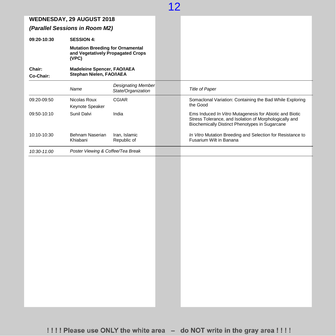|                                | <b>WEDNESDAY, 29 AUGUST 2018</b>                                                      |                                                 |                                                                                                                                                                     |
|--------------------------------|---------------------------------------------------------------------------------------|-------------------------------------------------|---------------------------------------------------------------------------------------------------------------------------------------------------------------------|
| (Parallel Sessions in Room M2) |                                                                                       |                                                 |                                                                                                                                                                     |
| 09:20-10:30                    | <b>SESSION 4:</b>                                                                     |                                                 |                                                                                                                                                                     |
|                                | <b>Mutation Breeding for Ornamental</b><br>and Vegetatively Propagated Crops<br>(VPC) |                                                 |                                                                                                                                                                     |
| Chair:<br>Co-Chair:            | <b>Madeleine Spencer, FAO/IAEA</b><br>Stephan Nielen, FAO/IAEA                        |                                                 |                                                                                                                                                                     |
|                                | Name                                                                                  | <b>Designating Member</b><br>State/Organization | <b>Title of Paper</b>                                                                                                                                               |
| 09:20-09:50                    | Nicolas Roux<br>Keynote Speaker                                                       | <b>CGIAR</b>                                    | Somaclonal Variation: Containing the Bad While Exploring<br>the Good                                                                                                |
| 09:50-10:10                    | Sunil Dalvi                                                                           | India                                           | Ems Induced In Vitro Mutagenesis for Abiotic and Biotic<br>Stress Tolerance, and Isolation of Morphologically and<br>Biochemically Distinct Phenotypes in Sugarcane |
| 10:10-10:30                    | Behnam Naserian<br>Khiabani                                                           | Iran, Islamic<br>Republic of                    | In Vitro Mutation Breeding and Selection for Resistance to<br>Fusarium Wilt in Banana                                                                               |
| 10:30-11:00                    | Poster Viewing & Coffee/Tea Break                                                     |                                                 |                                                                                                                                                                     |
|                                |                                                                                       |                                                 |                                                                                                                                                                     |
|                                |                                                                                       |                                                 |                                                                                                                                                                     |
|                                |                                                                                       |                                                 |                                                                                                                                                                     |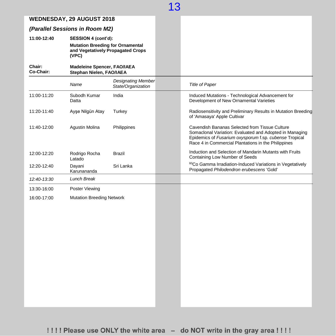### **WEDNESDAY, 29 AUGUST 2018**

### *(Parallel Sessions in Room M2)*

**11:00-12:40 SESSION 4 (cont'd): Mutation Breeding for Ornamental and Vegetatively Propagated Crops (VPC)**

#### **Chair: Co-Chair: Madeleine Spencer, FAO/IAEA Stephan Nielen, FAO/IAEA**

|             | Name                             | <b>Designating Member</b><br>State/Organization | <b>Title of Paper</b>                                                                                                                                                                                                      |
|-------------|----------------------------------|-------------------------------------------------|----------------------------------------------------------------------------------------------------------------------------------------------------------------------------------------------------------------------------|
| 11:00-11:20 | Subodh Kumar<br>Datta            | India                                           | Induced Mutations - Technological Advancement for<br>Development of New Ornamental Varieties                                                                                                                               |
| 11:20-11:40 | Ayşe Nilgün Atay                 | Turkey                                          | Radiosensitivity and Preliminary Results in Mutation Breeding<br>of 'Amasaya' Apple Cultivar                                                                                                                               |
| 11:40-12:00 | <b>Agustin Molina</b>            | Philippines                                     | Cavendish Bananas Selected from Tissue Culture<br>Somaclonal Variation: Evaluated and Adopted in Managing<br>Epidemics of Fusarium oxysporum f.sp. cubense Tropical<br>Race 4 in Commercial Plantations in the Philippines |
| 12:00-12:20 | Rodrigo Rocha<br>Latado          | <b>Brazil</b>                                   | Induction and Selection of Mandarin Mutants with Fruits<br>Containing Low Number of Seeds                                                                                                                                  |
| 12:20-12:40 | Dayani<br>Karunananda            | Sri Lanka                                       | <sup>60</sup> Co Gamma Irradiation-Induced Variations in Vegetatively<br>Propagated Philodendron erubescens 'Gold'                                                                                                         |
| 12:40-13:30 | <b>Lunch Break</b>               |                                                 |                                                                                                                                                                                                                            |
| 13:30-16:00 | Poster Viewing                   |                                                 |                                                                                                                                                                                                                            |
| 16:00-17:00 | <b>Mutation Breeding Network</b> |                                                 |                                                                                                                                                                                                                            |
|             |                                  |                                                 |                                                                                                                                                                                                                            |
|             |                                  |                                                 |                                                                                                                                                                                                                            |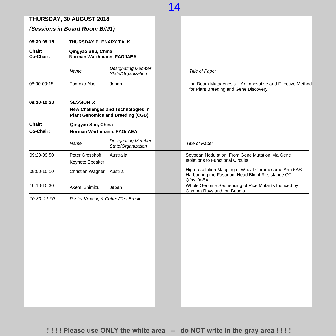|                     | THURSDAY, 30 AUGUST 2018                         |                                                                                |                                                                                                                          |
|---------------------|--------------------------------------------------|--------------------------------------------------------------------------------|--------------------------------------------------------------------------------------------------------------------------|
|                     | (Sessions in Board Room B/M1)                    |                                                                                |                                                                                                                          |
| 08:30-09:15         | THURSDAY PLENARY TALK                            |                                                                                |                                                                                                                          |
| Chair:<br>Co-Chair: | Qingyao Shu, China<br>Norman Warthmann, FAO/IAEA |                                                                                |                                                                                                                          |
|                     | Name                                             | <b>Designating Member</b><br>State/Organization                                | <b>Title of Paper</b>                                                                                                    |
| 08:30-09:15         | Tomoko Abe                                       | Japan                                                                          | Ion-Beam Mutagenesis - An Innovative and Effective Method<br>for Plant Breeding and Gene Discovery                       |
| 09:20-10:30         | <b>SESSION 5:</b>                                | New Challenges and Technologies in<br><b>Plant Genomics and Breeding (CGB)</b> |                                                                                                                          |
| Chair:<br>Co-Chair: | Qingyao Shu, China<br>Norman Warthmann, FAO/IAEA |                                                                                |                                                                                                                          |
|                     | Name                                             | <b>Designating Member</b><br>State/Organization                                | <b>Title of Paper</b>                                                                                                    |
| 09:20-09:50         | Peter Gresshoff<br>Keynote Speaker               | Australia                                                                      | Soybean Nodulation: From Gene Mutation, via Gene<br><b>Isolations to Functional Circuits</b>                             |
| 09:50-10:10         | Christian Wagner                                 | Austria                                                                        | High-resolution Mapping of Wheat Chromosome Arm 5AS<br>Harbouring the Fusarium Head Blight Resistance QTL<br>Qfhs.ifa-5A |
| 10:10-10:30         | Akemi Shimizu                                    | Japan                                                                          | Whole Genome Sequencing of Rice Mutants Induced by<br>Gamma Rays and Ion Beams                                           |
| 10:30-11:00         | Poster Viewing & Coffee/Tea Break                |                                                                                |                                                                                                                          |
|                     |                                                  |                                                                                |                                                                                                                          |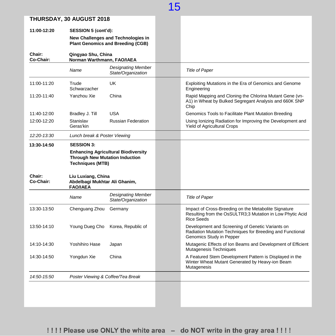|                                           | THURSDAY, 30 AUGUST 2018                                                                                       |                                                 |                                                                                                                                           |
|-------------------------------------------|----------------------------------------------------------------------------------------------------------------|-------------------------------------------------|-------------------------------------------------------------------------------------------------------------------------------------------|
| 11:00-12:20                               | SESSION 5 (cont'd):<br>New Challenges and Technologies in<br><b>Plant Genomics and Breeding (CGB)</b>          |                                                 |                                                                                                                                           |
| Chair:<br>Qingyao Shu, China<br>Co-Chair: |                                                                                                                | Norman Warthmann, FAO/IAEA                      |                                                                                                                                           |
|                                           | Name                                                                                                           | <b>Designating Member</b><br>State/Organization | <b>Title of Paper</b>                                                                                                                     |
| 11:00-11:20                               | Trude<br>Schwarzacher                                                                                          | UK                                              | Exploiting Mutations in the Era of Genomics and Genome<br>Engineering                                                                     |
| 11:20-11:40                               | Yanzhou Xie                                                                                                    | China                                           | Rapid Mapping and Cloning the Chlorina Mutant Gene (vn-<br>A1) in Wheat by Bulked Segregant Analysis and 660K SNP<br>Chip                 |
| 11:40-12:00                               | Bradley J. Till                                                                                                | <b>USA</b>                                      | Genomics Tools to Facilitate Plant Mutation Breeding                                                                                      |
| 12:00-12:20                               | Stanislav<br>Geras'kin                                                                                         | <b>Russian Federation</b>                       | Using Ionizing Radiation for Improving the Development and<br><b>Yield of Agricultural Crops</b>                                          |
| 12:20-13:30                               | Lunch break & Poster Viewing                                                                                   |                                                 |                                                                                                                                           |
| 13:30-14:50                               | <b>SESSION 3:</b>                                                                                              |                                                 |                                                                                                                                           |
|                                           | <b>Enhancing Agricultural Biodiversity</b><br><b>Through New Mutation Induction</b><br><b>Techniques (MTB)</b> |                                                 |                                                                                                                                           |
| <b>Chair:</b><br>Co-Chair:                | Liu Luxiang, China<br>Abdelbagi Mukhtar Ali Ghanim,<br><b>FAO/IAEA</b>                                         |                                                 |                                                                                                                                           |
|                                           | Name                                                                                                           | <b>Designating Member</b><br>State/Organization | <b>Title of Paper</b>                                                                                                                     |
| 13:30-13:50                               | Chenguang Zhou                                                                                                 | Germany                                         | Impact of Cross-Breeding on the Metabolite Signature<br>Resulting from the OsSULTR3;3 Mutation in Low Phytic Acid<br><b>Rice Seeds</b>    |
| 13:50-14:10                               | Young Dueg Cho                                                                                                 | Korea, Republic of                              | Development and Screening of Genetic Variants on<br>Radiation Mutation Techniques for Breeding and Functional<br>Genomics Study in Pepper |
| 14:10-14:30                               | Yoshihiro Hase                                                                                                 | Japan                                           | Mutagenic Effects of Ion Beams and Development of Efficient<br>Mutagenesis Techniques                                                     |
| 14:30 14:50                               | Yongdun Xie                                                                                                    | China                                           | A Featured Stem Development Pattern is Displayed in the<br>Winter Wheat Mutant Generated by Heavy-ion Beam<br>Mutagenesis                 |
| 14:50-15:50                               | Poster Viewing & Coffee/Tea Break                                                                              |                                                 |                                                                                                                                           |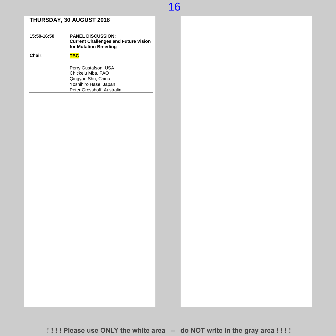### **THURSDAY, 30 AUGUST 2018**

#### **15:50-16:50 PANEL DISCUSSION: Current Challenges and Future Vision for Mutation Breeding**

| Chair: | TRC.                                                                                                                   |
|--------|------------------------------------------------------------------------------------------------------------------------|
|        | Perry Gustafson, USA<br>Chickelu Mba, FAO<br>Qingyao Shu, China<br>Yoshihiro Hase, Japan<br>Peter Gresshoff, Australia |
|        |                                                                                                                        |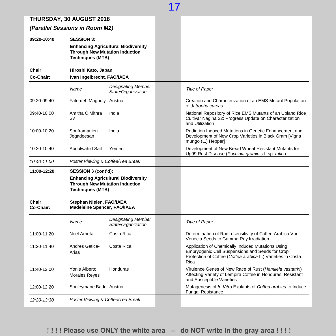| <b>THURSDAY, 30 AUGUST 2018</b> |                                                                                                                                     |  |                                                                                                                                                                             |
|---------------------------------|-------------------------------------------------------------------------------------------------------------------------------------|--|-----------------------------------------------------------------------------------------------------------------------------------------------------------------------------|
|                                 | (Parallel Sessions in Room M2)                                                                                                      |  |                                                                                                                                                                             |
| 09:20-10:40                     | <b>SESSION 3:</b><br><b>Enhancing Agricultural Biodiversity</b><br><b>Through New Mutation Induction</b><br><b>Techniques (MTB)</b> |  |                                                                                                                                                                             |
| Chair:<br>Co-Chair:             | Hiroshi Kato, Japan<br>Ivan Ingelbrecht, FAO/IAEA                                                                                   |  |                                                                                                                                                                             |
|                                 | <b>Designating Member</b><br>Name<br>State/Organization                                                                             |  | <b>Title of Paper</b>                                                                                                                                                       |
| 09:20-09:40                     | Fatemeh Maghuly Austria                                                                                                             |  | Creation and Characterization of an EMS Mutant Population<br>of Jatropha curcas                                                                                             |
| 09:40-10:00                     | Amitha C Mithra<br>India<br>Sv                                                                                                      |  | National Repository of Rice EMS Mutants of an Upland Rice<br>Cultivar Nagina 22: Progress Update on Characterization<br>and Utilization                                     |
| 10:00-10:20                     | India<br>Souframanien<br>Jegadeesan                                                                                                 |  | Radiation Induced Mutations in Genetic Enhancement and<br>Development of New Crop Varieties in Black Gram [Vigna<br>mungo (L.) Hepper]                                      |
| 10:20-10:40                     | Abdulwahid Saif<br>Yemen                                                                                                            |  | Development of New Bread Wheat Resistant Mutants for<br>Ug99 Rust Disease (Puccinia graminis f. sp. tritici)                                                                |
| 10:40-11:00                     | Poster Viewing & Coffee/Tea Break                                                                                                   |  |                                                                                                                                                                             |
| 11:00-12:20                     | SESSION 3 (cont'd):                                                                                                                 |  |                                                                                                                                                                             |
|                                 | <b>Enhancing Agricultural Biodiversity</b><br><b>Through New Mutation Induction</b><br><b>Techniques (MTB)</b>                      |  |                                                                                                                                                                             |
| Chair:<br>Co-Chair:             | Stephan Nielen, FAO/IAEA<br><b>Madeleine Spencer, FAO/IAEA</b>                                                                      |  |                                                                                                                                                                             |
|                                 | <b>Designating Member</b><br>Name<br>State/Organization                                                                             |  | <b>Title of Paper</b>                                                                                                                                                       |
| 11:00-11:20                     | Noël Arrieta<br>Costa Rica                                                                                                          |  | Determination of Radio-sensitivity of Coffee Arabica Var.<br>Venecia Seeds to Gamma Ray Irradiation                                                                         |
| 11:20-11:40                     | Andres Gatica-<br>Costa Rica<br>Arias                                                                                               |  | Application of Chemically Induced Mutations Using<br>Embryogenic Cell Suspensions and Seeds for Crop<br>Protection of Coffee (Coffea arabica L.) Varieties in Costa<br>Rica |
| 11:40-12:00                     | Yonis Alberto<br>Honduras<br><b>Morales Reyes</b>                                                                                   |  | Virulence Genes of New Race of Rust (Hemileia vastatrix)<br>Affecting Variety of Lempira Coffee in Honduras, Resistant<br>and Susceptible Varieties                         |
| 12:00-12:20                     | Souleymane Bado Austria                                                                                                             |  | Mutagenesis of In Vitro Explants of Coffea arabica to Induce<br><b>Fungal Resistance</b>                                                                                    |
| 12:20-13:30                     | Poster Viewing & Coffee/Tea Break                                                                                                   |  |                                                                                                                                                                             |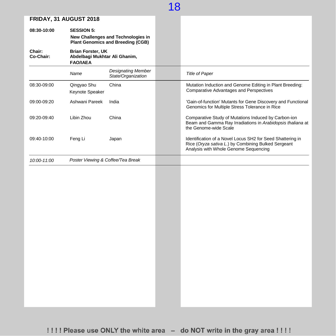#### **FRIDAY, 31 AUGUST 2018**

| <b>FRIDAY, 31 AUGUST 2018</b> |                                                                              |                                                                                |                                                                                                                                                            |
|-------------------------------|------------------------------------------------------------------------------|--------------------------------------------------------------------------------|------------------------------------------------------------------------------------------------------------------------------------------------------------|
| 08:30-10:00                   | <b>SESSION 5:</b>                                                            |                                                                                |                                                                                                                                                            |
|                               |                                                                              | New Challenges and Technologies in<br><b>Plant Genomics and Breeding (CGB)</b> |                                                                                                                                                            |
| Chair:<br>Co-Chair:           | <b>Brian Forster, UK</b><br>Abdelbagi Mukhtar Ali Ghanim,<br><b>FAO/IAEA</b> |                                                                                |                                                                                                                                                            |
|                               | Name                                                                         | <b>Designating Member</b><br>State/Organization                                | <b>Title of Paper</b>                                                                                                                                      |
| 08:30-09:00                   | Qingyao Shu<br>Keynote Speaker                                               | China                                                                          | Mutation Induction and Genome Editing in Plant Breeding:<br><b>Comparative Advantages and Perspectives</b>                                                 |
| 09:00-09:20                   | Ashwani Pareek                                                               | India                                                                          | 'Gain-of-function' Mutants for Gene Discovery and Functional<br>Genomics for Multiple Stress Tolerance in Rice                                             |
| 09:20-09:40                   | Libin Zhou                                                                   | China                                                                          | Comparative Study of Mutations Induced by Carbon-ion<br>Beam and Gamma Ray Irradiations in Arabidopsis thaliana at<br>the Genome-wide Scale                |
| 09:40-10:00                   | Feng Li                                                                      | Japan                                                                          | Identification of a Novel Locus SH2 for Seed Shattering in<br>Rice (Oryza sativa L.) by Combining Bulked Sergeant<br>Analysis with Whole Genome Sequencing |
| 10:00-11:00                   | Poster Viewing & Coffee/Tea Break                                            |                                                                                |                                                                                                                                                            |
|                               |                                                                              |                                                                                |                                                                                                                                                            |
|                               |                                                                              |                                                                                |                                                                                                                                                            |
|                               |                                                                              |                                                                                |                                                                                                                                                            |
|                               |                                                                              |                                                                                |                                                                                                                                                            |
|                               |                                                                              |                                                                                |                                                                                                                                                            |
|                               |                                                                              |                                                                                |                                                                                                                                                            |
|                               |                                                                              |                                                                                |                                                                                                                                                            |
|                               |                                                                              |                                                                                |                                                                                                                                                            |
|                               |                                                                              |                                                                                |                                                                                                                                                            |
|                               |                                                                              |                                                                                |                                                                                                                                                            |
|                               |                                                                              |                                                                                |                                                                                                                                                            |
|                               |                                                                              |                                                                                |                                                                                                                                                            |
|                               |                                                                              |                                                                                |                                                                                                                                                            |
|                               |                                                                              |                                                                                |                                                                                                                                                            |
|                               |                                                                              |                                                                                |                                                                                                                                                            |
|                               |                                                                              |                                                                                |                                                                                                                                                            |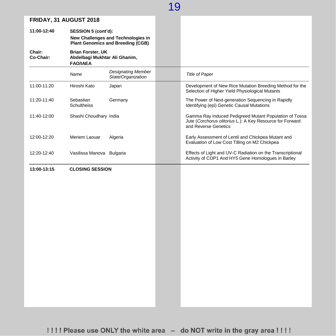|                                                                                                     | <b>FRIDAT, 31 AUGUST 2018</b>   |                                                                                |                                                                                                                                             |
|-----------------------------------------------------------------------------------------------------|---------------------------------|--------------------------------------------------------------------------------|---------------------------------------------------------------------------------------------------------------------------------------------|
| 11:00-12:40                                                                                         | SESSION 5 (cont'd):             | New Challenges and Technologies in<br><b>Plant Genomics and Breeding (CGB)</b> |                                                                                                                                             |
| Chair:<br><b>Brian Forster, UK</b><br>Co-Chair:<br>Abdelbagi Mukhtar Ali Ghanim,<br><b>FAO/IAEA</b> |                                 |                                                                                |                                                                                                                                             |
|                                                                                                     | Name                            | <b>Designating Member</b><br>State/Organization                                | <b>Title of Paper</b>                                                                                                                       |
| 11:00-11:20                                                                                         | Hiroshi Kato                    | Japan                                                                          | Development of New Rice Mutation Breeding Method for the<br>Selection of Higher Yield Physiological Mutants                                 |
| 11:20-11:40                                                                                         | Sebastian<br><b>Schultheiss</b> | Germany                                                                        | The Power of Next-generation Sequencing in Rapidly<br>Identifying (epi) Genetic Causal Mutations                                            |
| 11:40-12:00                                                                                         | Shashi Choudhary India          |                                                                                | Gamma Ray Induced Pedigreed Mutant Population of Tossa<br>Jute (Corchorus olitorius L.): A Key Resource for Forward<br>and Reverse Genetics |
| 12:00-12:20                                                                                         | Meriem Laouar                   | Algeria                                                                        | Early Assessment of Lentil and Chickpea Mutant and<br>Evaluation of Low Cost Tilling on M2 Chickpea                                         |
| 12:20-12:40                                                                                         | Vasilissa Manova Bulgaria       |                                                                                | Effects of Light and UV-C Radiation on the Transcriptional<br>Activity of COP1 And HY5 Gene Homologues in Barley                            |
| 13:00-13:15                                                                                         | <b>CLOSING SESSION</b>          |                                                                                |                                                                                                                                             |
|                                                                                                     |                                 |                                                                                |                                                                                                                                             |
|                                                                                                     |                                 |                                                                                |                                                                                                                                             |
|                                                                                                     |                                 |                                                                                |                                                                                                                                             |
|                                                                                                     |                                 |                                                                                |                                                                                                                                             |
|                                                                                                     |                                 |                                                                                |                                                                                                                                             |
|                                                                                                     |                                 |                                                                                |                                                                                                                                             |
|                                                                                                     |                                 |                                                                                |                                                                                                                                             |
|                                                                                                     |                                 |                                                                                |                                                                                                                                             |
|                                                                                                     |                                 |                                                                                |                                                                                                                                             |
|                                                                                                     |                                 |                                                                                |                                                                                                                                             |
|                                                                                                     |                                 |                                                                                |                                                                                                                                             |
|                                                                                                     |                                 |                                                                                |                                                                                                                                             |
|                                                                                                     |                                 |                                                                                |                                                                                                                                             |
|                                                                                                     |                                 |                                                                                |                                                                                                                                             |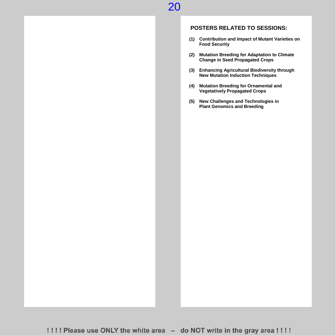### **POSTERS RELATED TO SESSIONS:**

- **(1) Contribution and Impact of Mutant Varieties on Food Security**
- **(2) Mutation Breeding for Adaptation to Climate Change in Seed Propagated Crops**
- **(3) Enhancing Agricultural Biodiversity through New Mutation Induction Techniques**
- **(4) Mutation Breeding for Ornamental and Vegetatively Propagated Crops**
- **(5) New Challenges and Technologies in Plant Genomics and Breeding**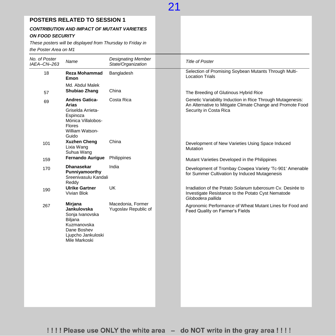|  | <b>POSTERS RELATED TO SESSION 1</b> |
|--|-------------------------------------|
|--|-------------------------------------|

#### *CONTRIBUTION AND IMPACT OF MUTANT VARIETIES ON FOOD SECURITY*

*These posters will be displayed from Thursday to Friday in the Poster Area on M1*

| the Poster Area on M1        |                                                                                                                                           |                                                 |                                                                                                                                                    |
|------------------------------|-------------------------------------------------------------------------------------------------------------------------------------------|-------------------------------------------------|----------------------------------------------------------------------------------------------------------------------------------------------------|
| No. of Poster<br>IAEA-CN-263 | Name                                                                                                                                      | <b>Designating Member</b><br>State/Organization | <b>Title of Poster</b>                                                                                                                             |
| 18                           | <b>Reza Mohammad</b><br>Emon                                                                                                              | Bangladesh                                      | Selection of Promising Soybean Mutants Through Multi-<br><b>Location Trials</b>                                                                    |
| 57                           | Md. Abdul Malek<br>Shubiao Zhang                                                                                                          | China                                           | The Breeding of Glutinous Hybrid Rice                                                                                                              |
| 69                           | <b>Andres Gatica-</b><br><b>Arias</b><br>Griselda Arrieta-<br>Espinoza<br>Mónica Villalobos-<br><b>Flores</b><br>William Watson-<br>Guido | Costa Rica                                      | Genetic Variability Induction in Rice Through Mutagenesis:<br>An Alternative to Mitigate Climate Change and Promote Food<br>Security in Costa Rica |
| 101                          | <b>Xuzhen Cheng</b><br>Lixia Wang<br>Suhua Wang                                                                                           | China                                           | Development of New Varieties Using Space Induced<br>Mutation                                                                                       |
| 159                          | <b>Fernando Aurigue</b>                                                                                                                   | Philippines                                     | Mutant Varieties Developed in the Philippines                                                                                                      |
| 170                          | <b>Dhanasekar</b><br>Punniyamoorthy<br>Sreenivasulu Kandali<br>Reddy                                                                      | India                                           | Development of Trombay Cowpea Variety 'Tc-901' Amenable<br>for Summer Cultivation by Induced Mutagenesis                                           |
| 190                          | <b>Ulrike Gartner</b><br>Vivian Blok                                                                                                      | <b>UK</b>                                       | Irradiation of the Potato Solanum tuberosum Cy. Desirée to<br>Investigate Resistance to the Potato Cyst Nematode<br>Globodera pallida              |
| 267                          | Mirjana<br>Jankulovska<br>Sonja Ivanovska<br>Biljana<br>Kuzmanovska<br>Dane Boshev<br>Ljupcho Jankuloski<br>Mile Markoski                 | Macedonia, Former<br>Yugoslav Republic of       | Agronomic Performance of Wheat Mutant Lines for Food and<br>Feed Quality on Farmer's Fields                                                        |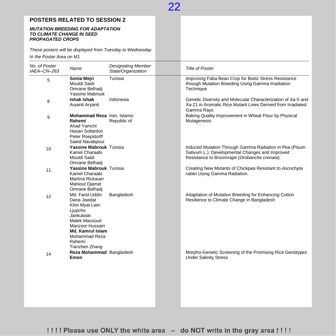### **POSTERS RELATED TO SESSION 2**

#### *MUTATION BREEDING FOR ADAPTATION TO CLIMATE CHANGE IN SEED PROPAGATED CROPS*

*These posters will be displayed from Tuesday to Wednesday*

*In the Poster Area on M1*

| No. of Poster | Name                                                                                                                                                                                  | <b>Designating Member</b> | <b>Title of Poster</b>                                                                                                                                   |
|---------------|---------------------------------------------------------------------------------------------------------------------------------------------------------------------------------------|---------------------------|----------------------------------------------------------------------------------------------------------------------------------------------------------|
| IAEA-CN-263   |                                                                                                                                                                                       | State/Organization        |                                                                                                                                                          |
| 5             | Sonia Mejri<br>Mouldi Saidi<br>Omrane Belhadj<br>Yassine Mabrouk                                                                                                                      | Tunisia                   | Improving Faba Bean Crop for Biotic Stress Resistance<br>through Mutation Breeding Using Gamma Irradiation<br>Technique                                  |
| 8             | Ishak Ishak<br>Aryanti Aryanti                                                                                                                                                        | Indonesia                 | Genetic Diversity and Molecular Characterization of Xa-5 and<br>Xa-21 in Aromatic Rice Mutant Lines Derived from Irradiated<br>Gamma Rays                |
| 9             | Mohammad Reza Iran, Islamic<br>Rahemi<br>Ahad Yamchi<br>Hasan Soltanloo<br>Peter Roepstorff<br>Saeid Navabpour                                                                        | Republic of               | Baking Quality Improvement in Wheat Flour by Physical<br>Mutagenesis                                                                                     |
| 10            | Yassine Mabrouk Tunisia<br>Kamel Charaabi<br>Mouldi Saidi<br>Omrane Belhadj                                                                                                           |                           | Induced Mutation Through Gamma Radiation in Pea (Pisum<br>Sativum L.): Developmental Changes and Improved<br>Resistance to Broomrape (Orobanche crenata) |
| 11            | Yassine Mabrouk Tunisia<br>Kamel Charaabi<br>Martina Rickauer<br><b>Mahiout Djamel</b><br>Omrane Belhadj                                                                              |                           | Creating New Mutants of Chickpea Resistant to Ascochyta<br>rabiei Using Gamma Radiation.                                                                 |
| 12            | Md. Farid Uddin<br>Dana Jawdat<br>Khin Myat Lwin<br>Ljupcho<br>Jankuloski<br>Malek Massoud<br>Manzoor Hussain<br><b>Md. Kamrul Islam</b><br>Mohammad Reza<br>Rahemi<br>Tianzhen Zhang | Bangladesh                | Adaptation of Mutation Breeding for Enhancing Cotton<br>Resilience to Climate Change in Bangladesh                                                       |
| 14            | Reza Mohammad Bangladesh<br>Emon                                                                                                                                                      |                           | Morpho-Genetic Screening of the Promising Rice Genotypes<br><b>Under Salinity Stress</b>                                                                 |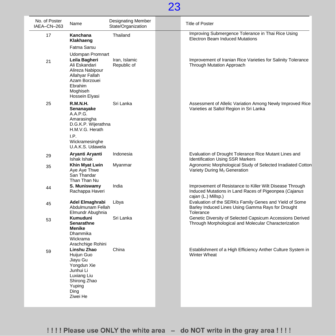

| No. of Poster<br>IAEA-CN-263 | Name                                                                                                                                                       | <b>Designating Member</b><br>State/Organization | <b>Title of Poster</b>                                                                                                                   |
|------------------------------|------------------------------------------------------------------------------------------------------------------------------------------------------------|-------------------------------------------------|------------------------------------------------------------------------------------------------------------------------------------------|
| 17                           | Kanchana<br>Klakhaeng<br>Fatma Sarsu                                                                                                                       | Thailand                                        | Improving Submergence Tolerance in Thai Rice Using<br><b>Electron Beam Induced Mutations</b>                                             |
| 21                           | <b>Udompan Promnart</b><br>Leila Bagheri<br>Ali Eskandari<br>Alireza Nabipour<br>Allahyar Fallah<br>Azam Borzouei<br>Ebrahim<br>Moghiseh<br>Hossein Elyasi | Iran, Islamic<br>Republic of                    | Improvement of Iranian Rice Varieties for Salinity Tolerance<br><b>Through Mutation Approach</b>                                         |
| 25                           | <b>R.M.N.H.</b><br>Senanayake<br>A.A.P.G.<br>Amarasingha<br>D.G.K.P. Wijerathna<br>H.M.V.G. Herath<br>I.P.                                                 | Sri Lanka                                       | Assessment of Allelic Variation Among Newly Improved Rice<br>Varieties at Saltol Region in Sri Lanka                                     |
|                              | Wickramesinghe<br>U.A.K.S. Udawela<br>Aryanti Aryanti                                                                                                      | Indonesia                                       | Evaluation of Drought Tolerance Rice Mutant Lines and                                                                                    |
| 29                           | Ishak Ishak                                                                                                                                                |                                                 | <b>Identification Using SSR Markers</b>                                                                                                  |
| 35                           | Khin Myat Lwin<br>Aye Aye Thwe<br>San Thandar<br>Than Than Nu                                                                                              | Myanmar                                         | Agronomic Morphological Study of Selected Irradiated Cotton<br>Variety During M <sub>3</sub> Generation                                  |
| 44                           | S. Muniswamy<br>Rachappa Haveri                                                                                                                            | India                                           | Improvement of Resistance to Killer Wilt Disease Through<br>Induced Mutations in Land Races of Pigeonpea (Cajanus<br>cajan (L.) Millsp.) |
| 45                           | Adel Elmaghrabi<br>Abdulmunam Fellah<br>Elmundr Abughnia                                                                                                   | Libya                                           | Evaluation of the SERKs Family Genes and Yield of Some<br>Barley Induced Lines Using Gamma Rays for Drought<br>Tolerance                 |
| 53                           | <b>Kumuduni</b><br><b>Senarathne</b><br><b>Menike</b><br>Dhammika<br>Wickrama<br>Arachchige Rohini                                                         | Sri Lanka                                       | Genetic Diversity of Selected Capsicum Accessions Derived<br>Through Morphological and Molecular Characterization                        |
| 59                           | Linshu Zhao<br>Huijun Guo<br>Jiayu Gu<br>Yongdun Xie<br>Junhui Li<br>Luxiang Liu<br>Shirong Zhao<br>Yuping<br>Ding<br>Ziwei He                             | China                                           | Establishment of a High Efficiency Anther Culture System in<br><b>Winter Wheat</b>                                                       |

!!!! Please use ONLY the white area - do NOT write in the gray area !!!!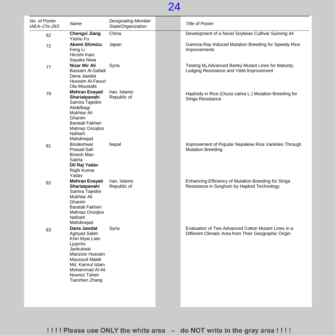| No. of Poster<br>IAEA-CN-263 | Name                                                                                                                                                                                 | <b>Designating Member</b><br>State/Organization | <b>Title of Poster</b>                                                                                        |
|------------------------------|--------------------------------------------------------------------------------------------------------------------------------------------------------------------------------------|-------------------------------------------------|---------------------------------------------------------------------------------------------------------------|
| 62                           | Chengxi Jiang<br>Yashu Fu                                                                                                                                                            | China                                           | Development of a Novel Soybean Cultivar Suinong 44                                                            |
| 72                           | Akemi Shimizu<br>Feng Li<br>Hiroshi Kato                                                                                                                                             | Japan                                           | Gamma-Ray Induced Mutation Breeding for Speedy Rice<br>Improvements                                           |
| 77                           | Sayaka Niwa<br>Nizar Mir Ali<br>Bassam Al-Safadi<br>Dana Jawdat<br>Hussam Al-Faouri<br>Ola Moustafa                                                                                  | Syria                                           | Testing M <sub>8</sub> Advanced Barley Mutant Lines for Maturity,<br>Lodging Resistance and Yield Improvement |
| 79                           | <b>Mehran Enavati</b><br>Shariatpanahi<br>Samira Tajedini<br>Abdelbagi<br>Mukhtar Ali<br>Ghanim<br>Baratali Fakheri<br>Mahnaz Oroojloo<br>Nafiseh<br>Mahdinejad                      | Iran, Islamic<br>Republic of                    | Haploidy in Rice (Oryza sativa L.) Mutation Breeding for<br>Striga Resistance                                 |
| 81                           | Bindeshwar<br>Prasad Sah<br><b>Binesh Man</b><br>Sakha<br>Dil Raj Yadav<br>Rajib Kumar<br>Yadav                                                                                      | Nepal                                           | Improvement of Popular Nepalese Rice Varieties Through<br><b>Mutation Breeding</b>                            |
| 82                           | <b>Mehran Enayati</b><br>Shariatpanahi<br>Samira Tajedini<br>Mukhtar Ali<br>Ghanim<br>Baratali Fakheri<br>Mahnaz Oroojloo<br>Nafiseh<br>Mahdinejad                                   | Iran, Islamic<br>Republic of                    | Enhancing Efficiency of Mutation Breeding for Striga<br>Resistance in Sorghum by Haploid Technology           |
| 83                           | Dana Jawdat<br>Aghyad Saleh<br>Khin Myat Lwin<br>Ljupcho<br>Jankuloski<br>Manzoor Hussain<br>Massoud Malek<br>Md. Kamrul Islam<br>Mohammad Al-Ali<br>Nowrez Taheir<br>Tianzhen Zhang | Syria                                           | Evaluation of Two Advanced Cotton Mutant Lines in a<br>Different Climatic Area from Their Geographic Origin   |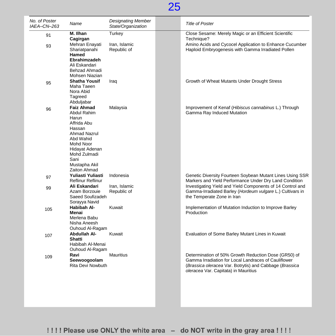| No. of Poster<br>IAEA-CN-263 | Name                                                                                                                                                                                           | <b>Designating Member</b><br>State/Organization | <b>Title of Poster</b>                                                                                                                                                                                          |
|------------------------------|------------------------------------------------------------------------------------------------------------------------------------------------------------------------------------------------|-------------------------------------------------|-----------------------------------------------------------------------------------------------------------------------------------------------------------------------------------------------------------------|
| 91                           | M. Ilhan<br>Cagirgan                                                                                                                                                                           | Turkey                                          | Close Sesame: Merely Magic or an Efficient Scientific<br>Technique?                                                                                                                                             |
| 93                           | Mehran Enayati<br>Shariatpanahi<br>Hamed<br><b>Ebrahimzadeh</b><br>Ali Eskandari<br>Behzad Ahmadi<br>Mohsen Niazian                                                                            | Iran, Islamic<br>Republic of                    | Amino Acids and Cycocel Application to Enhance Cucumber<br>Haploid Embryogenesis with Gamma Irradiated Pollen                                                                                                   |
| 95                           | <b>Shatha Yousif</b><br>Maha Taeen<br>Nora Abid<br>Tagreed<br>Abduljabar                                                                                                                       | Iraq                                            | Growth of Wheat Mutants Under Drought Stress                                                                                                                                                                    |
| 96                           | <b>Faiz Ahmad</b><br>Abdul Rahim<br>Harun<br>Affrida Abu<br>Hassan<br><b>Ahmad Nazrul</b><br>Abd Wahid<br>Mohd Noor<br>Hidayat Adenan<br>Mohd Zulmadi<br>Sani<br>Mustapha Akil<br>Zaiton Ahmad | Malaysia                                        | Improvement of Kenaf (Hibiscus cannabinus L.) Through<br>Gamma Ray Induced Mutation                                                                                                                             |
| 97                           | Yuliasti Yuliasti<br><b>Reflinur Reflinur</b>                                                                                                                                                  | Indonesia                                       | Genetic Diversity Fourteen Soybean Mutant Lines Using SSR<br>Markers and Yield Performance Under Dry Land Condition                                                                                             |
| 99                           | Ali Eskandari<br>Azam Borzouie<br>Saeed Soufizadeh<br>Sorayya Navid                                                                                                                            | Iran, Islamic<br>Republic of                    | Investigating Yield and Yield Components of 14 Control and<br>Gamma-Irradiated Barley (Hordeum vulgare L.) Cultivars in<br>the Temperate Zone in Iran                                                           |
| 105                          | Habibah Al-<br>Menai<br>Merlena Babu<br>Nisha Aneesh<br>Ouhoud Al-Ragam                                                                                                                        | Kuwait                                          | Implementation of Mutation Induction to Improve Barley<br>Production                                                                                                                                            |
| 107                          | <b>Abdullah Al-</b><br>Shatti<br>Habibah Al-Menai<br>Ouhoud Al-Ragam                                                                                                                           | Kuwait                                          | Evaluation of Some Barley Mutant Lines in Kuwait                                                                                                                                                                |
| 109                          | Ravi<br>Seewoogoolam<br>Rita Devi Nowbuth                                                                                                                                                      | <b>Mauritius</b>                                | Determination of 50% Growth Reduction Dose (GR50) of<br>Gamma Irradiation for Local Landraces of Cauliflower<br>(Brassica oleracea Var. Botrytis) and Cabbage (Brassica<br>oleracea Var. Capitata) in Mauritius |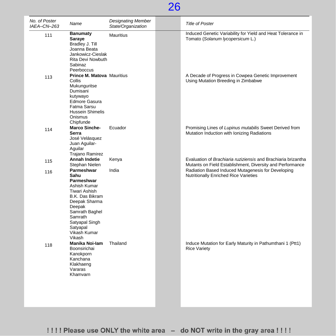| No. of Poster<br>IAEA-CN-263 | Name                                                                                                                                                                                                        | <b>Designating Member</b><br>State/Organization | <b>Title of Poster</b>                                                                                                     |
|------------------------------|-------------------------------------------------------------------------------------------------------------------------------------------------------------------------------------------------------------|-------------------------------------------------|----------------------------------------------------------------------------------------------------------------------------|
| 111                          | <b>Banumaty</b><br>Saraye<br>Bradley J. Till<br>Joanna Beata<br>Jankowicz-Cieslak<br>Rita Devi Nowbuth<br>Sabinaz<br>Peerboccus                                                                             | <b>Mauritius</b>                                | Induced Genetic Variability for Yield and Heat Tolerance in<br>Tomato (Solanum lycopersicum L.)                            |
| 113                          | <b>Prince M. Matova Mauritius</b><br><b>Collis</b><br>Mukunguritse<br>Dumisani<br>kutywayo<br>Edmore Gasura<br>Fatma Sarsu<br><b>Hussein Shimelis</b><br>Onismus<br>Chipfunde                               |                                                 | A Decade of Progress in Cowpea Genetic Improvement<br>Using Mutation Breeding in Zimbabwe                                  |
| 114                          | <b>Marco Sinche-</b><br>Serra<br>José Velásquez<br>Juan Aguilar-<br>Aguilar<br><b>Trajano Ramirez</b>                                                                                                       | Ecuador                                         | Promising Lines of Lupinus mutabilis Sweet Derived from<br>Mutation Induction with Ionizing Radiations                     |
| 115                          | <b>Annah Indetie</b><br>Stephan Nielen                                                                                                                                                                      | Kenya                                           | Evaluation of Brachiaria ruziziensis and Brachiaria brizantha<br>Mutants on Field Establishment, Diversity and Performance |
| 116                          | Parmeshwar<br>Sahu<br>Parmeshwar<br>Ashish Kumar<br><b>Tiwari Ashish</b><br>B.K. Das Bikram<br>Deepak Sharma<br>Deepak<br>Samrath Baghel<br>Samrath<br>Satyapal Singh<br>Satyapal<br>Vikash Kumar<br>Vikash | India                                           | Radiation Based Induced Mutagenesis for Developing<br><b>Nutritionally Enriched Rice Varieties</b>                         |
| 118                          | Manika Noi-lam<br>Boonsirichai<br>Kanokporn<br>Kanchana<br>Klakhaeng<br>Vararas<br>Khamvarn                                                                                                                 | Thailand                                        | Induce Mutation for Early Maturity in Pathumthani 1 (Ptt1)<br><b>Rice Variety</b>                                          |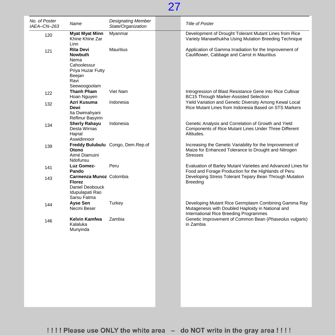| No. of Poster<br>IAEA-CN-263 | Name                                                                                                             | <b>Designating Member</b><br>State/Organization | <b>Title of Poster</b>                                                                                                                              |
|------------------------------|------------------------------------------------------------------------------------------------------------------|-------------------------------------------------|-----------------------------------------------------------------------------------------------------------------------------------------------------|
| 120                          | <b>Myat Myat Minn</b><br>Khine Khine Zar<br>Linn                                                                 | Myanmar                                         | Development of Drought Tolerant Mutant Lines from Rice<br>Variety Manawthukha Using Mutation Breeding Technique                                     |
| 121                          | <b>Rita Devi</b><br><b>Nowbuth</b><br>Nema<br>Cahoolessur<br>Priya Huzar Futty<br>Beejan<br>Ravi<br>Seewoogoolam | <b>Mauritius</b>                                | Application of Gamma Irradiation for the Improvement of<br>Cauliflower, Cabbage and Carrot in Mauritius                                             |
| 122                          | Thanh Pham<br>Hoan Nguyen                                                                                        | Viet Nam                                        | Introgression of Blast Resistance Gene into Rice Cultivar<br>BC15 Through Marker-Assisted Selection                                                 |
| 132                          | Azri Kusuma<br>Dewi<br>Ita Dwimahyani<br>Reflinur Basyirin                                                       | Indonesia                                       | Yield Variation and Genetic Diversity Among Kewal Local<br>Rice Mutant Lines from Indonesia Based on STS Markers                                    |
| 134                          | <b>Sherly Rahayu</b><br>Desta Wirnas<br>Hajrial<br>Aswidinnoor                                                   | Indonesia                                       | Genetic Analysis and Correlation of Growth and Yield<br>Components of Rice Mutant Lines Under Three Different<br>Altitudes.                         |
| 139                          | Otono<br>Aimé Diamuini<br>Ndofunsu                                                                               | Freddy Bulubulu Congo, Dem.Rep.of               | Increasing the Genetic Variability for the Improvement of<br>Maize for Enhanced Tolerance to Drought and Nitrogen<br><b>Stresses</b>                |
| 141                          | Luz Gomez-<br>Pando                                                                                              | Peru                                            | Evaluation of Barley Mutant Varieties and Advanced Lines for<br>Food and Forage Production for the Highlands of Peru                                |
| 143                          | Carmenza Munoz Colombia<br><b>Florez</b><br>Daniel Deobouck<br>Idupulapati Rao<br>Sarsu Fatma                    |                                                 | Developing Stress Tolerant Tepary Bean Through Mutation<br><b>Breeding</b>                                                                          |
| 144                          | <b>Ayse Sen</b><br>Necmi Beser                                                                                   | Turkey                                          | Developing Mutant Rice Germplasm Combining Gamma Ray<br>Mutagenesis with Doubled Haploidy in National and<br>International Rice Breeding Programmes |
| 146                          | Kelvin Kamfwa<br>Kalaluka<br>Munyinda                                                                            | Zambia                                          | Genetic Improvement of Common Bean (Phaseolus vulgaris)<br>in Zambia                                                                                |
|                              |                                                                                                                  |                                                 |                                                                                                                                                     |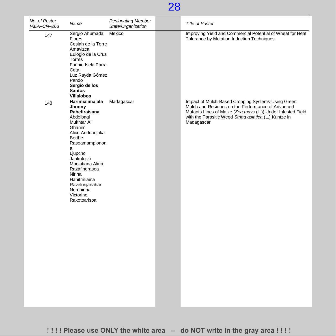| No. of Poster<br>IAEA-CN-263 | Name                                                                                                                                                                                                                                                                                         | <b>Designating Member</b><br>State/Organization | <b>Title of Poster</b>                                                                                                                                                                                                                         |
|------------------------------|----------------------------------------------------------------------------------------------------------------------------------------------------------------------------------------------------------------------------------------------------------------------------------------------|-------------------------------------------------|------------------------------------------------------------------------------------------------------------------------------------------------------------------------------------------------------------------------------------------------|
| 147                          | Sergio Ahumada<br>Flores<br>Cesiah de la Torre<br>Amavizca<br>Eulogio de la Cruz<br>Torres<br>Fannie Isela Parra<br>Cota<br>Luz Rayda Gómez<br>Pando<br>Sergio de los<br><b>Santos</b><br><b>Villalobos</b>                                                                                  | Mexico                                          | Improving Yield and Commercial Potential of Wheat for Heat<br>Tolerance by Mutation Induction Techniques                                                                                                                                       |
| 148                          | Harimialimalala<br>Jhonny<br>Rabefiraisana<br>Abdelbagi<br>Mukhtar Ali<br>Ghanim<br>Alice Andrianjaka<br>Berthe<br>Rasoamampionon<br>а<br>Ljupcho<br>Jankuloski<br>Mbolatiana Alinà<br>Razafindrasoa<br>Nirina<br>Hanitriniaina<br>Ravelonjanahar<br>Noronirina<br>Victorine<br>Rakotoarisoa | Madagascar                                      | Impact of Mulch-Based Cropping Systems Using Green<br>Mulch and Residues on the Performance of Advanced<br>Mutants Lines of Maize (Zea mays (L.)) Under Infested Field<br>with the Parasitic Weed Striga asiatica (L.) Kuntze in<br>Madagascar |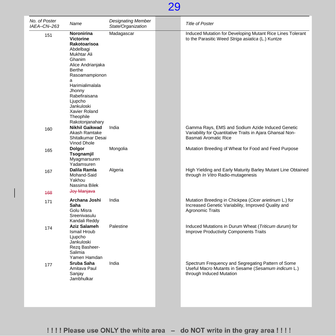| No. of Poster<br>IAEA-CN-263 | Name                                                                                                                                              | <b>Designating Member</b><br>State/Organization | <b>Title of Poster</b>                                                                                                                   |
|------------------------------|---------------------------------------------------------------------------------------------------------------------------------------------------|-------------------------------------------------|------------------------------------------------------------------------------------------------------------------------------------------|
| 151                          | Noronirina<br><b>Victorine</b><br>Rakotoarisoa<br>Abdelbagi<br>Mukhtar Ali<br>Ghanim<br>Alice Andrianjaka<br><b>Berthe</b><br>Rasoamampionon<br>a | Madagascar                                      | Induced Mutation for Developing Mutant Rice Lines Tolerant<br>to the Parasitic Weed Striga asiatica (L.) Kuntze                          |
|                              | Harimialimalala<br>Jhonny<br>Rabefiraisana<br>Ljupcho<br>Jankuloski<br>Xavier Roland<br>Theophile<br>Rakotonjanahary                              |                                                 |                                                                                                                                          |
| 160                          | <b>Nikhil Gaikwad</b><br>Akash Ramtake<br>Shitalkumar Desai<br>Vinod Dhole                                                                        | India                                           | Gamma Rays, EMS and Sodium Azide Induced Genetic<br>Variability for Quantitative Traits in Ajara Ghansal Non-<br>Basmati Aromatic Rice   |
| 165                          | Dolgor<br>Tsognamjil<br>Myagmarsuren<br>Yadamsuren                                                                                                | Mongolia                                        | Mutation Breeding of Wheat for Food and Feed Purpose                                                                                     |
| 167                          | Dalila Ramla<br>Mohand-Said<br>Yakhou<br>Nassima Bilek                                                                                            | Algeria                                         | High Yielding and Early Maturity Barley Mutant Line Obtained<br>through In Vitro Radio-mutagenesis                                       |
| 468                          | Joy Manjava                                                                                                                                       |                                                 |                                                                                                                                          |
| 171                          | Archana Joshi<br>Saha<br>Golu Misra<br>Sreenivasulu<br>Kandali Reddy                                                                              | India                                           | Mutation Breeding in Chickpea (Cicer arietinum L.) for<br>Increased Genetic Variability, Improved Quality and<br><b>Agronomic Traits</b> |
| 174                          | <b>Aziz Salameh</b><br>Ismail Hroub<br>Ljupcho<br>Jankuloski<br>Rezq Basheer-<br>Salimia<br>Yamen Hamdan                                          | Palestine                                       | Induced Mutations in Durum Wheat (Triticum durum) for<br><b>Improve Productivity Components Traits</b>                                   |
| 177                          | Sruba Saha<br>Amitava Paul<br>Sanjay<br>Jambhulkar                                                                                                | India                                           | Spectrum Frequency and Segregating Pattern of Some<br>Useful Macro Mutants in Sesame (Sesamum indicum L.)<br>through Induced Mutation    |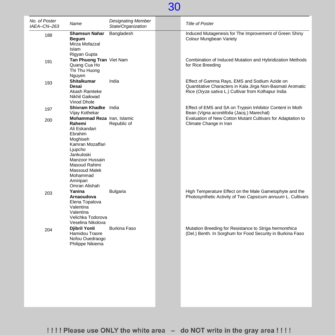| No. of Poster<br>IAEA-CN-263 | Name                                                                                                                                                                                       | <b>Designating Member</b><br>State/Organization | <b>Title of Poster</b>                                                                                                                                                 |
|------------------------------|--------------------------------------------------------------------------------------------------------------------------------------------------------------------------------------------|-------------------------------------------------|------------------------------------------------------------------------------------------------------------------------------------------------------------------------|
| 188                          | <b>Shamsun Nahar</b><br><b>Begum</b><br>Mirza Mofazzal<br><b>Islam</b><br>Rigyan Gupta                                                                                                     | Bangladesh                                      | Induced Mutagenesis for The Improvement of Green Shiny<br>Colour Mungbean Variety                                                                                      |
| 191                          | Tan Phuong Tran Viet Nam<br>Quang Cua Ho<br>Thi Thu Huong<br>Nguyen                                                                                                                        |                                                 | Combination of Induced Mutation and Hybridization Methods<br>for Rice Breeding                                                                                         |
| 193                          | <b>Shitalkumar</b><br>Desai<br>Akash Ramteke<br>Nikhil Gaikwad<br>Vinod Dhole                                                                                                              | India                                           | Effect of Gamma Rays, EMS and Sodium Azide on<br>Quantitative Characters in Kala Jirga Non-Basmati Aromatic<br>Rice (Oryza sativa L.) Cultivar from Kolhapur India     |
| 197                          | Shivram Khadke India<br>Vijay Kothekar<br>Mohammad Reza Iran, Islamic                                                                                                                      |                                                 | Effect of EMS and SA on Trypsin Inhibitor Content in Moth<br>Bean (Vigna aconitifolia (Jacq.) Marechal)<br>Evaluation of New Cotton Mutant Cultivars for Adaptation to |
| 200                          | Rahemi<br>Ali Eskandari<br>Ebrahim<br>Moghiseh<br>Kamran Mozaffari<br>Ljupcho<br>Jankuloski<br>Manzoor Hussain<br>Masoud Rahimi<br>Massoud Malek<br>Mohammad<br>Amiripari<br>Omran Alishah | Republic of                                     | Climate Change in Iran                                                                                                                                                 |
| 203                          | Yanina<br>Arnaoudova<br>Elena Topalova<br>Valentina<br>Valentina<br>Velichka Todorova<br>Veselina Nikolova                                                                                 | <b>Bulgaria</b>                                 | High Temperature Effect on the Male Gametophyte and the<br>Photosynthetic Activity of Two Capsicum annuum L. Cultivars                                                 |
| 204                          | Djibril Yonli<br>Hamidou Traore<br>Nofou Ouedraogo<br>Philippe Nikiema                                                                                                                     | <b>Burkina Faso</b>                             | Mutation Breeding for Resistance to Striga hermonthica<br>(Del.) Benth. In Sorghum for Food Security in Burkina Faso                                                   |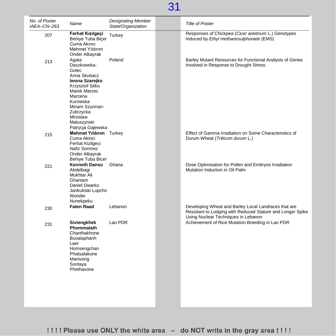| No. of Poster<br>IAEA-CN-263 | Name                                                                                                                                                                                                             | <b>Designating Member</b><br>State/Organization | <b>Title of Poster</b>                                                                                                                                    |
|------------------------------|------------------------------------------------------------------------------------------------------------------------------------------------------------------------------------------------------------------|-------------------------------------------------|-----------------------------------------------------------------------------------------------------------------------------------------------------------|
| 207                          | Ferhat Kızılgeçi<br>Behiye Tuba Biçer<br>Cuma Akıncı<br>Mehmet Yıldırım<br>Onder Albayrak                                                                                                                        | Turkey                                          | Responses of Chickpea (Cicer arietinum L.) Genotypes<br>Induced by Ethyl methanesulphonate (EMS)                                                          |
| 213                          | Agata<br>Daszkowska-<br>Golec<br>Anna Skubacz<br>Iwona Szarejko<br>Krzysztof Sitko<br><b>Marek Marzec</b><br>Marzena<br>Kurowska<br>Miriam Szurman-<br>Zubrzycka<br>Miroslaw<br>Maluszynski<br>Patrycja Gajewska | Poland                                          | Barley Mutant Resources for Functional Analysis of Genes<br>Involved in Response to Drought Stress                                                        |
| 215                          | <b>Mehmet Yıldırım</b> Turkey<br>Cuma Akinci<br>Ferhat Kizilgeci<br>Nafiz Sonmez<br>Onder Albayrak<br>Behiye Tuba Bicer                                                                                          |                                                 | Effect of Gamma Irradiation on Some Characteristics of<br>Durum Wheat (Triticum durum L.)                                                                 |
| 221                          | <b>Kenneth Danso</b><br>Abdelbagi<br>Mukhtar Ali<br>Ghaniam<br>Daniel Dwarko<br>Jankuloski Lupcho<br>Wonder<br>Nunekpeku                                                                                         | Ghana                                           | Dose Optimisation for Pollen and Embryos Irradiation<br>Mutation Induction in Oil Palm                                                                    |
| 230                          | <b>Faten Raad</b>                                                                                                                                                                                                | Lebanon                                         | Developing Wheat and Barley Local Landraces that are<br>Resistant to Lodging with Reduced Stature and Longer Spike<br>Using Nuclear Techniques in Lebanon |
| 231                          | Siviengkhek<br>Phommalath<br>Chanthakhone<br>Buoalaphanh<br>Laer<br>Homsengchan<br>Phatsalakone<br>Manivong<br>Sontaya<br>Phethavone                                                                             | Lao PDR                                         | Achievement of Rice Mutation Breeding in Lao PDR                                                                                                          |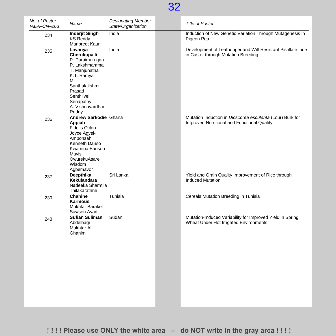

| No. of Poster<br>IAEA-CN-263 | Name                                                                                                                                                                                | <b>Designating Member</b><br>State/Organization | <b>Title of Poster</b>                                                                                   |
|------------------------------|-------------------------------------------------------------------------------------------------------------------------------------------------------------------------------------|-------------------------------------------------|----------------------------------------------------------------------------------------------------------|
| 234                          | <b>Inderjit Singh</b><br><b>KS Reddy</b><br>Manpreet Kaur                                                                                                                           | India                                           | Induction of New Genetic Variation Through Mutagenesis in<br>Pigeon Pea                                  |
| 235                          | Lavanya<br>Cherukupalli<br>P. Duraimurugan<br>P. Lakshmamma<br>T. Manjunatha<br>K.T. Ramya<br>М.<br>Santhalakshmi<br>Prasad<br>Senthilvel<br>Senapathy<br>A. Vishnuvardhan<br>Reddy | India                                           | Development of Leafhopper and Wilt Resistant Pistillate Line<br>in Castor through Mutation Breeding      |
| 236                          | Andrew Sarkodie Ghana<br>Appiah<br>Fidelis Ocloo<br>Joyce Agyei-<br>Amponsah<br>Kenneth Danso<br>Kwamina Banson<br><b>Mavis</b><br>OwurekuAsare<br>Wisdom<br>Agbemavor              |                                                 | Mutation Induction in Dioscorea esculenta (Lour) Burk for<br>Improved Nutritional and Functional Quality |
| 237                          | Deepthika<br>Kekulandara<br>Nadeeka Sharmila<br>Thilakarathne                                                                                                                       | Sri Lanka                                       | Yield and Grain Quality Improvement of Rice through<br><b>Induced Mutation</b>                           |
| 239                          | Chahine<br>Karmous<br>Mokhtar Baraket<br>Sawsen Ayadi                                                                                                                               | Tunisia                                         | Cereals Mutation Breeding in Tunisia                                                                     |
| 248                          | <b>Sufian Suliman</b><br>Abdelbagi<br>Mukhtar Ali<br>Ghanim                                                                                                                         | Sudan                                           | Mutation-Induced Variability for Improved Yield in Spring<br>Wheat Under Hot Irrigated Environments      |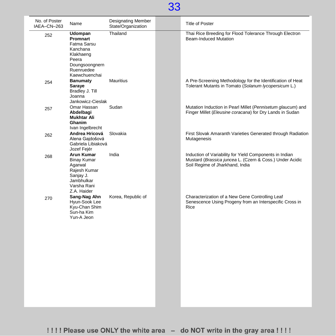| No. of Poster<br>IAEA-CN-263 | Name                                                                                                                  | <b>Designating Member</b><br>State/Organization | <b>Title of Poster</b>                                                                                                                                 |
|------------------------------|-----------------------------------------------------------------------------------------------------------------------|-------------------------------------------------|--------------------------------------------------------------------------------------------------------------------------------------------------------|
| 252                          | Udompan<br>Promnart<br>Fatma Sarsu<br>Kanchana<br>Klakhaeng<br>Peera<br>Doungsoongnern<br>Ruenruedee<br>Kaewchuenchai | Thailand                                        | Thai Rice Breeding for Flood Tolerance Through Electron<br><b>Beam-Induced Mutation</b>                                                                |
| 254                          | Banumaty<br>Saraye<br>Bradley J. Till<br>Joanna<br>Jankowicz-Cieslak                                                  | <b>Mauritius</b>                                | A Pre-Screening Methodology for the Identification of Heat<br>Tolerant Mutants in Tomato (Solanum lycopersicum L.)                                     |
| 257                          | Omar Hassan<br>Abdelbagi<br><b>Mukhtar Ali</b><br>Ghanim<br>Ivan Ingelbrecht                                          | Sudan                                           | Mutation Induction in Pearl Millet (Pennisetum glaucum) and<br>Finger Millet (Eleusine coracana) for Dry Lands in Sudan                                |
| 262                          | Andrea Hricová<br>Alena Gajdošová<br>Gabriela Libiaková<br>Jozef Fejér                                                | Slovakia                                        | First Slovak Amaranth Varieties Generated through Radiation<br>Mutagenesis                                                                             |
| 268                          | Arun Kumar<br><b>Binay Kumar</b><br>Agarwal<br>Rajesh Kumar<br>Sanjay J.<br>Jambhulkar<br>Varsha Rani<br>Z.A. Haider  | India                                           | Induction of Variability for Yield Components in Indian<br>Mustard (Brassica juncea L. (Czern & Coss.) Under Acidic<br>Soil Regime of Jharkhand, India |
| 270                          | Sang-Nag Ahn<br>Hyun-Sook Lee<br>Kyu-Chan Shim<br>Sun-ha Kim<br>Yun-A Jeon                                            | Korea, Republic of                              | Characterization of a New Gene Controlling Leaf<br>Senescence Using Progeny from an Interspecific Cross in<br>Rice                                     |
|                              |                                                                                                                       |                                                 |                                                                                                                                                        |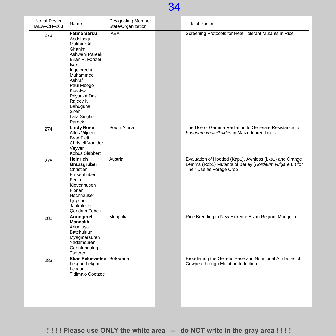| No. of Poster<br>IAEA-CN-263 | Name                                                                                                                                                                                                                                            | Designating Member<br>State/Organization | <b>Title of Poster</b>                                                                                                                        |
|------------------------------|-------------------------------------------------------------------------------------------------------------------------------------------------------------------------------------------------------------------------------------------------|------------------------------------------|-----------------------------------------------------------------------------------------------------------------------------------------------|
| 273                          | <b>Fatma Sarsu</b><br>Abdelbagi<br>Mukhtar Ali<br>Ghanim<br>Ashwani Pareek<br>Brian P. Forster<br>Ivan<br>Ingelbrecht<br>Muhammed<br>Ashraf<br>Paul Mbogo<br>Kusolwa<br>Priyanka Das<br>Rajeev N.<br>Bahuguna<br>Sneh<br>Lata Singla-<br>Pareek | <b>IAEA</b>                              | Screening Protocols for Heat Tolerant Mutants in Rice                                                                                         |
| 274                          | <b>Lindy Rose</b><br>Altus Viljoen<br><b>Brad Flett</b><br>Christell Van der<br>Veyver<br>Kobus Slabbert                                                                                                                                        | South Africa                             | The Use of Gamma Radiation to Generate Resistance to<br>Fusarium verticillioides in Maize Inbred Lines                                        |
| 276                          | <b>Heinrich</b><br>Grausgruber<br>Christian<br>Emsenhuber<br>Fenja<br>Klevenhusen<br>Florian<br>Hochhauser<br>Ljupcho<br>Jankuloski<br>Qendrim Zebeli                                                                                           | Austria                                  | Evaluation of Hooded (Kap1), Awnless (Lks1) and Orange<br>Lemma (Rob1) Mutants of Barley (Hordeum vulgare L.) for<br>Their Use as Forage Crop |
| 282                          | Ariungerel<br><b>Mandakh</b><br>Ariuntuya<br>Batchuluun<br>Myagmarsuren<br>Yadamsuren<br>Odontungalag<br>Tseeren                                                                                                                                | Mongolia                                 | Rice Breeding in New Extreme Asian Region, Mongolia                                                                                           |
| 283                          | Elias Peloewetse Botswana<br>Lekgari Lekgari<br>Lekgari<br><b>Tidimalo Coetzee</b>                                                                                                                                                              |                                          | Broadening the Genetic Base and Nutritional Attributes of<br>Cowpea through Mutation Induction                                                |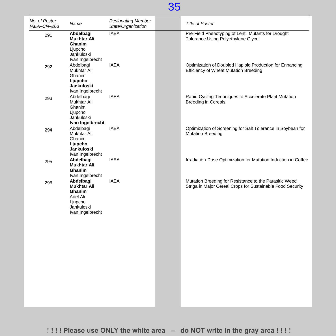| No. of Poster<br>IAEA-CN-263 | Name                                                                                               | <b>Designating Member</b><br>State/Organization | <b>Title of Poster</b>                                                                                               |
|------------------------------|----------------------------------------------------------------------------------------------------|-------------------------------------------------|----------------------------------------------------------------------------------------------------------------------|
| 291                          | Abdelbagi<br><b>Mukhtar Ali</b><br>Ghanim<br>Ljupcho<br>Jankuloski<br>Ivan Ingelbrecht             | <b>IAEA</b>                                     | Pre-Field Phenotyping of Lentil Mutants for Drought<br>Tolerance Using Polyethylene Glycol                           |
| 292                          | Abdelbagi<br>Mukhtar Ali<br>Ghanim<br>Ljupcho<br>Jankuloski<br>Ivan Ingelbrecht                    | <b>IAEA</b>                                     | Optimization of Doubled Haploid Production for Enhancing<br><b>Efficiency of Wheat Mutation Breeding</b>             |
| 293                          | Abdelbagi<br>Mukhtar Ali<br>Ghanim<br>Ljupcho<br>Jankuloski<br>Ivan Ingelbrecht                    | <b>IAEA</b>                                     | Rapid Cycling Techniques to Accelerate Plant Mutation<br><b>Breeding in Cereals</b>                                  |
| 294                          | Abdelbagi<br>Mukhtar Ali<br>Ghanim<br>Ljupcho<br>Jankuloski<br>Ivan Ingelbrecht                    | <b>IAEA</b>                                     | Optimization of Screening for Salt Tolerance in Soybean for<br><b>Mutation Breeding</b>                              |
| 295                          | Abdelbagi<br><b>Mukhtar Ali</b><br>Ghanim<br>Ivan Ingelbrecht                                      | <b>IAEA</b>                                     | Irradiation-Dose Optimization for Mutation Induction in Coffee                                                       |
| 296                          | Abdelbagi<br><b>Mukhtar Ali</b><br>Ghanim<br>Adel Ali<br>Ljupcho<br>Jankuloski<br>Ivan Ingelbrecht | <b>IAEA</b>                                     | Mutation Breeding for Resistance to the Parasitic Weed<br>Striga in Major Cereal Crops for Sustainable Food Security |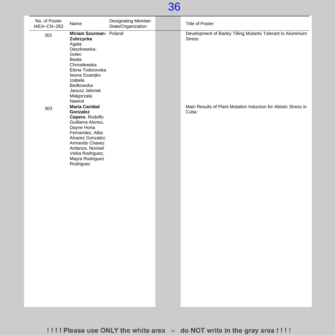| No. of Poster<br>IAEA-CN-263 | Name                                                                                                                                                                                                                      | <b>Designating Member</b><br>State/Organization | <b>Title of Poster</b>                                                       |
|------------------------------|---------------------------------------------------------------------------------------------------------------------------------------------------------------------------------------------------------------------------|-------------------------------------------------|------------------------------------------------------------------------------|
| 301                          | Miriam Szurman- Poland<br>Zubrzycka<br>Agata<br>Daszkowska-<br>Golec<br>Beata<br>Chmielewska<br>Elena Todorovska<br>Iwona Szarejko<br>Izabela<br>Bedkowska<br>Janusz Jelonek<br>Malgorzata<br>Nawrot                      |                                                 | Development of Barley Tilling Mutants Tolerant to Aluminium<br><b>Stress</b> |
| 303                          | <b>Maria Caridad</b><br>Gonzalez<br>Cepero, Rodolfo<br>Guillama Alonso,<br>Dayne Horta<br>Fernandez, Alba<br>Alvarez Gonzalez,<br>Armando Chavez<br>Ardanza, Novisel<br>Veitia Rodriguez,<br>Mayra Rodriguez<br>Rodriguez |                                                 | Main Results of Plant Mutation Induction for Abiotic Stress in<br>Cuba       |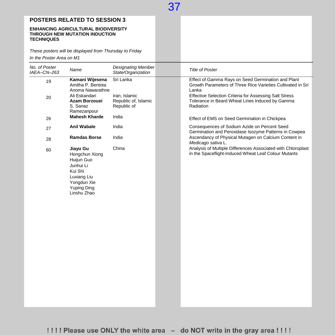### **POSTERS RELATED TO SESSION 3**

#### **ENHANCING AGRICULTURAL BIODIVERSITY THROUGH NEW MUTATION INDUCTION TECHNIQUES**

*These posters will be displayed from Thursday to Friday*

*In the Poster Area on M1*

| No. of Poster<br>IAEA-CN-263 | Name                                                                                                                                | <b>Designating Member</b><br>State/Organization      | <b>Title of Poster</b>                                                                                                     |
|------------------------------|-------------------------------------------------------------------------------------------------------------------------------------|------------------------------------------------------|----------------------------------------------------------------------------------------------------------------------------|
| 19                           | Kamani Wijesena<br>Amitha P. Bentota<br>Anoma Nawarathne                                                                            | Sri Lanka                                            | Effect of Gamma Rays on Seed Germination and Plant<br>Growth Parameters of Three Rice Varieties Cultivated in Sri<br>Lanka |
| 20                           | Ali Eskandari<br>Azam Borzouei<br>S. Sanaz<br>Ramezanpour                                                                           | Iran, Islamic<br>Republic of, Islamic<br>Republic of | Effective Selection Criteria for Assessing Salt Stress<br>Tolerance in Beard Wheat Lines Induced by Gamma<br>Radiation     |
| 26                           | <b>Mahesh Kharde</b>                                                                                                                | India                                                | Effect of EMS on Seed Germination in Chickpea                                                                              |
| 27                           | <b>Anil Wabale</b>                                                                                                                  | India                                                | Consequences of Sodium Azide on Percent Seed<br>Germination and Peroxidase Isozyme Patterns in Cowpea                      |
| 28                           | <b>Ramdas Borse</b>                                                                                                                 | India                                                | Ascendancy of Physical Mutagen on Calcium Content in<br>Medicago sativa L.                                                 |
| 60                           | Jiayu Gu<br>Hongchun Xiong<br>Huijun Guo<br>Junhui Li<br>Kui Shi<br>Luxiang Liu<br>Yongdun Xie<br><b>Yuping Ding</b><br>Linshu Zhao | China                                                | Analysis of Multiple Differences Associated with Chloroplast<br>in the Spaceflight-Induced Wheat Leaf Colour Mutants       |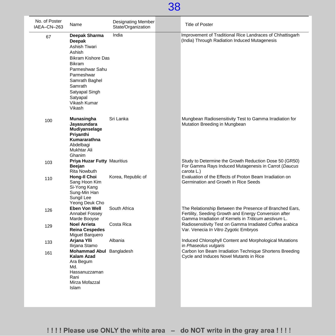| No. of Poster<br>IAEA-CN-263 | Name                                                                                                                                                                                                                   | Designating Member<br>State/Organization | <b>Title of Poster</b>                                                                                                                                                   |
|------------------------------|------------------------------------------------------------------------------------------------------------------------------------------------------------------------------------------------------------------------|------------------------------------------|--------------------------------------------------------------------------------------------------------------------------------------------------------------------------|
| 67                           | Deepak Sharma<br>Deepak<br>Ashish Tiwari<br>Ashish<br><b>Bikram Kishore Das</b><br><b>Bikram</b><br>Parmeshwar Sahu<br>Parmeshwar<br>Samrath Baghel<br>Samrath<br>Satyapal Singh<br>Satyapal<br>Vikash Kumar<br>Vikash | India                                    | Improvement of Traditional Rice Landraces of Chhattisgarh<br>(India) Through Radiation Induced Mutagenesis                                                               |
| 100                          | Munasingha<br>Jayasundara<br>Mudiyanselage<br>Priyanthi<br>Kumararathna<br>Abdelbagi<br>Mukhtar Ali<br>Ghanim                                                                                                          | Sri Lanka                                | Mungbean Radiosensitivity Test to Gamma Irradiation for<br>Mutation Breeding in Mungbean                                                                                 |
| 103                          | Priya Huzar Futty Mauritius<br><b>Beejan</b><br>Rita Nowbuth                                                                                                                                                           |                                          | Study to Determine the Growth Reduction Dose 50 (GR50)<br>For Gamma Rays Induced Mutagenesis in Carrot (Daucus<br>carota L.)                                             |
| 110                          | Hong-II Choi<br>Sang Hoon Kim<br>Si-Yong Kang<br>Sung-Min Han<br>Sungil Lee<br>Yeong Deuk Cho                                                                                                                          | Korea, Republic of                       | Evaluation of the Effects of Proton Beam Irradiation on<br>Germination and Growth in Rice Seeds                                                                          |
| 126                          | Eben Von Well<br>Annabel Fossey<br>Marde Booyse                                                                                                                                                                        | South Africa                             | The Relationship Between the Presence of Branched Ears,<br>Fertility, Seeding Growth and Energy Conversion after<br>Gamma Irradiation of Kernels in Triticum aestivum L. |
| 129                          | <b>Noel Arrieta</b><br><b>Reina Cespedes</b><br>Miguel Barquero                                                                                                                                                        | Costa Rica                               | Radiosensitivity Test on Gamma Irradiated Coffea arabica<br>Var. Venecia In Vitro Zygotic Embryos                                                                        |
| 133                          | Arjana YIIi<br>Ilirjana Stamo                                                                                                                                                                                          | Albania                                  | Induced Chlorophyll Content and Morphological Mutations<br>in Phaseolus vulgaris                                                                                         |
| 161                          | Mohammad Abul Bangladesh<br>Kalam Azad<br>Ara Begum<br>Md.<br>Hassanuzzaman<br>Rani<br>Mirza Mofazzal<br>Islam                                                                                                         |                                          | Carbon Ion Beam Irradiation Technique Shortens Breeding<br>Cycle and Induces Novel Mutants in Rice                                                                       |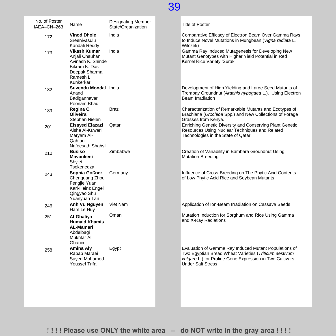| No. of Poster<br>IAEA-CN-263 | Name                                                                                                            | Designating Member<br>State/Organization | <b>Title of Poster</b>                                                                                                                                                                                 |
|------------------------------|-----------------------------------------------------------------------------------------------------------------|------------------------------------------|--------------------------------------------------------------------------------------------------------------------------------------------------------------------------------------------------------|
| 172                          | <b>Vinod Dhole</b><br>Sreenivasulu<br>Kandali Reddy                                                             | India                                    | Comparative Efficacy of Electron Beam Over Gamma Rays<br>to Induce Novel Mutations in Mungbean (Vigna radiata L.<br>Wilczek)                                                                           |
| 173                          | Vikash Kumar<br>Anjali Chauhan<br>Avinash K. Shinde<br>Bikram K. Das<br>Deepak Sharma<br>Ramesh L.<br>Kunkerkar | India                                    | Gamma Ray Induced Mutagenesis for Developing New<br>Mutant Genotypes with Higher Yield Potential in Red<br>Kernel Rice Variety 'Surak'                                                                 |
| 182                          | Suvendu Mondal India<br>Anand<br>Badigannavar<br>Poonam Bhad                                                    |                                          | Development of High Yielding and Large Seed Mutants of<br>Trombay Groundnut (Arachis hypogaea L.). Using Electron<br>Beam Irradiation                                                                  |
| 189                          | Regina C.<br>Oliveira<br>Stephan Nielen                                                                         | Brazil                                   | Characterization of Remarkable Mutants and Ecotypes of<br>Brachiaria (Urochloa Spp.) and New Collections of Forage<br>Grasses from Kenya.                                                              |
| 201                          | <b>Elsayed Elazazi</b><br>Aisha Al-Kuwari<br>Maryam Al-<br>Qahtani<br>Nafeesath Shahsil                         | Qatar                                    | Enriching Genetic Diversity and Conserving Plant Genetic<br>Resources Using Nuclear Techniques and Related<br>Technologies in the State of Qatar                                                       |
| 210                          | <b>Busiso</b><br>Mavankeni<br>Shylet<br>Tsekenedza                                                              | Zimbabwe                                 | Creation of Variability in Bambara Groundnut Using<br><b>Mutation Breeding</b>                                                                                                                         |
| 243                          | Sophia Goßner<br>Chenguang Zhou<br>Fengjie Yuan<br>Karl-Heinz Engel<br>Qingyao Shu<br>Yuanyuan Tan              | Germany                                  | Influence of Cross-Breeding on The Phytic Acid Contents<br>of Low Phytic Acid Rice and Soybean Mutants                                                                                                 |
| 246                          | Anh Vu Nguyen<br>Ham Le Huy                                                                                     | Viet Nam                                 | Application of Ion-Beam Irradiation on Cassava Seeds                                                                                                                                                   |
| 251                          | Al-Ghaliya<br><b>Humaid Khamis</b><br>AL-Mamari<br>Abdelbagi<br>Mukhtar Ali<br>Ghanim                           | Oman                                     | Mutation Induction for Sorghum and Rice Using Gamma<br>and X-Ray Radiations                                                                                                                            |
| 258                          | Amina Aly<br>Rabab Maraei<br>Sayed Mohamed<br><b>Youssef Trifa</b>                                              | Egypt                                    | Evaluation of Gamma Ray Induced Mutant Populations of<br>Two Egyptian Bread Wheat Varieties (Triticum aestivum<br>vulgare L.) for Proline Gene Expression in Two Cultivars<br><b>Under Salt Stress</b> |
|                              |                                                                                                                 |                                          |                                                                                                                                                                                                        |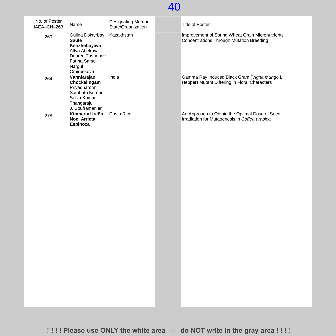| No. of Poster<br>IAEA-CN-263 | Name                                                                                                                        | Designating Member<br>State/Organization | <b>Title of Poster</b>                                                                              |
|------------------------------|-----------------------------------------------------------------------------------------------------------------------------|------------------------------------------|-----------------------------------------------------------------------------------------------------|
| 260                          | Gulina Doktyrbay<br><b>Saule</b><br>Kenzhebayeva<br>Alfya Abekova<br>Dauren Tashenev<br>Fatma Sarsu<br>Nargul<br>Omirbekova | Kazakhstan                               | Improvement of Spring Wheat Grain Micronutrients<br><b>Concentrations Through Mutation Breeding</b> |
| 264                          | Vanniarajan<br>Chockalingam<br>Priyadharshni<br>Sambath Kumar<br>Selva Kumar<br>Thangaraju<br>J. Souframanien               | India                                    | Gamma Ray Induced Black Gram (Vigna mungo L.<br>Hepper) Mutant Differing in Floral Characters       |
| 278                          | Kimberly Ureña<br><b>Noel Arrieta</b><br>Espinoza                                                                           | Costa Rica                               | An Approach to Obtain the Optimal Dose of Seed<br>Irradiation for Mutagenesis in Coffea arabica     |
|                              |                                                                                                                             |                                          |                                                                                                     |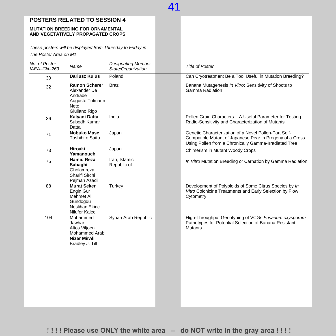### **POSTERS RELATED TO SESSION 4**

#### **MUTATION BREEDING FOR ORNAMENTAL AND VEGETATIVELY PROPAGATED CROPS**

*These posters will be displayed from Thursday to Friday in The Poster Area on M1*

| No. of Poster<br>IAEA-CN-263 | Name                                                                                           | <b>Designating Member</b><br>State/Organization | <b>Title of Poster</b>                                                                                                                                                     |
|------------------------------|------------------------------------------------------------------------------------------------|-------------------------------------------------|----------------------------------------------------------------------------------------------------------------------------------------------------------------------------|
| 30                           | <b>Dariusz Kulus</b>                                                                           | Poland                                          | Can Cryotreatment Be a Tool Useful in Mutation Breeding?                                                                                                                   |
| 32                           | <b>Ramon Scherer</b><br>Alexander De<br>Andrade<br>Augusto Tulmann<br>Neto<br>Giuliano Rigo    | <b>Brazil</b>                                   | Banana Mutagenesis In Vitro: Sensitivity of Shoots to<br>Gamma Radiation                                                                                                   |
| 36                           | Kalyani Datta<br>Subodh Kumar<br>Datta                                                         | India                                           | Pollen Grain Characters - A Useful Parameter for Testing<br>Radio-Sensitivity and Characterization of Mutants                                                              |
| 71                           | Nobuko Mase<br><b>Toshihiro Saito</b>                                                          | Japan                                           | Genetic Characterization of a Novel Pollen-Part Self-<br>Compatible Mutant of Japanese Pear in Progeny of a Cross<br>Using Pollen from a Chronically Gamma-Irradiated Tree |
| 73                           | Hiroaki<br>Yamanouchi                                                                          | Japan                                           | Chimerism in Mutant Woody Crops                                                                                                                                            |
| 75                           | <b>Hamid Reza</b><br>Sabaghi<br>Gholamreza<br>Sharifi Sirchi<br>Pejman Azadi                   | Iran, Islamic<br>Republic of                    | In Vitro Mutation Breeding or Carnation by Gamma Radiation                                                                                                                 |
| 88                           | <b>Murat Seker</b><br>Engin Gur<br>Mehmet Ali<br>Gundogdu<br>Neslihan Ekinci<br>Nilufer Kaleci | Turkey                                          | Development of Polyploids of Some Citrus Species by In<br>Vitro Colchicine Treatments and Early Selection by Flow<br>Cytometry                                             |
| 104                          | Mohammed<br>Jawhar<br>Altos Viljoen<br>Mohammed Arabi<br>Nizar MirAli<br>Bradley J. Till       | Syrian Arab Republic                            | High-Throughput Genotyping of VCGs Fusarium oxysporum<br>Pathotypes for Potential Selection of Banana Resistant<br><b>Mutants</b>                                          |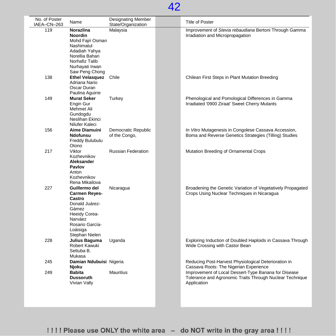| No. of Poster<br>IAEA-CN-263 | Name                                                                                                                                                     | <b>Designating Member</b><br>State/Organization | <b>Title of Poster</b>                                                                                                          |
|------------------------------|----------------------------------------------------------------------------------------------------------------------------------------------------------|-------------------------------------------------|---------------------------------------------------------------------------------------------------------------------------------|
| 119                          | Norazlina<br><b>Noordin</b><br>Mohd Fairi Osman<br>Nashimatul<br>Adadiah Yahya<br>Norellia Bahari<br>Norhafiz Talib<br>Nurhayati Irwan<br>Saw Peng Chong | Malaysia                                        | Improvement of Stevia rebaudiana Bertoni Through Gamma<br>Irradiation and Micropropagation                                      |
| 138                          | <b>Ethel Velasquez</b><br>Adriana Nario<br>Oscar Duran<br>Paulina Aguirre                                                                                | Chile                                           | Chilean First Steps in Plant Mutation Breeding                                                                                  |
| 149                          | <b>Murat Seker</b><br>Engin Gur<br>Mehmet Ali<br>Gundogdu<br>Neslihan Ekinci<br>Nilufer Kaleci                                                           | Turkey                                          | Phenological and Pomological Differences in Gamma<br>Irradiated '0900 Ziraat' Sweet Cherry Mutants                              |
| 156                          | Aime Diamuini<br>Ndofunsu<br>Freddy Bulubulu<br>Otono                                                                                                    | Democratic Republic<br>of the Congo,            | In Vitro Mutagenesis in Congolese Cassava Accession,<br>Boma and Reverse Genetics Strategies (Tilling) Studies                  |
| 217                          | Viktor<br>Kozhevnikov<br>Aleksander<br>Pavlov<br>Anton<br>Kozhevnikov<br>Rena Mikailova                                                                  | <b>Russian Federation</b>                       | Mutation Breeding of Ornamental Crops                                                                                           |
| 227                          | Guillermo del<br>Carmen Reyes-<br>Castro<br>Donald Juárez-<br>Gámez<br>Heeidy Corea-<br>Narváez<br>Rosario García-<br>Loáisiga<br>Stephan Nielen         | Nicaragua                                       | Broadening the Genetic Variation of Vegetatively Propagated<br>Crops Using Nuclear Techniques in Nicaragua                      |
| 228                          | Julius Baguma<br>Robert Kawuki<br>Settuba B.<br>Mukasa                                                                                                   | Uganda                                          | Exploring Induction of Doubled Haploids in Cassava Through<br>Wide Crossing with Castor Bean                                    |
| 245                          | Damian Ndubuisi Nigeria<br>Njoku                                                                                                                         |                                                 | Reducing Post-Harvest Physiological Deterioration in<br>Cassava Roots: The Nigerian Experience                                  |
| 249                          | <b>Babita</b><br><b>Dussoruth</b><br>Vivian Vally                                                                                                        | <b>Mauritius</b>                                | Improvement of Local Dessert-Type Banana for Disease<br>Tolerance and Agronomic Traits Through Nuclear Technique<br>Application |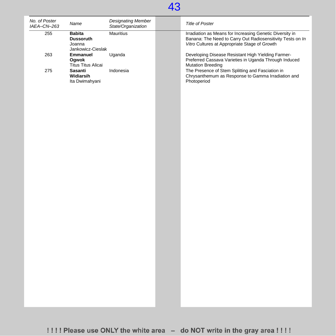

| No. of Poster<br>IAEA-CN-263 | Name                                                             | <b>Designating Member</b><br>State/Organization | Title of Poster                                                                                                                                                         |
|------------------------------|------------------------------------------------------------------|-------------------------------------------------|-------------------------------------------------------------------------------------------------------------------------------------------------------------------------|
| 255                          | <b>Babita</b><br><b>Dussoruth</b><br>Joanna<br>Jankowicz-Cieslak | <b>Mauritius</b>                                | Irradiation as Means for Increasing Genetic Diversity in<br>Banana: The Need to Carry Out Radiosensitivity Tests on In<br>Vitro Cultures at Appropriate Stage of Growth |
| 263                          | Emmanuel<br>Ogwok<br><b>Titus Titus Alicai</b>                   | Uganda                                          | Developing Disease Resistant High Yielding Farmer-<br>Preferred Cassava Varieties in Uganda Through Induced<br><b>Mutation Breeding</b>                                 |
| 275                          | Sasanti<br>Widiarsih<br>Ita Dwimahyani                           | Indonesia                                       | The Presence of Stem Splitting and Fasciation in<br>Chrysanthemum as Response to Gamma Irradiation and<br>Photoperiod                                                   |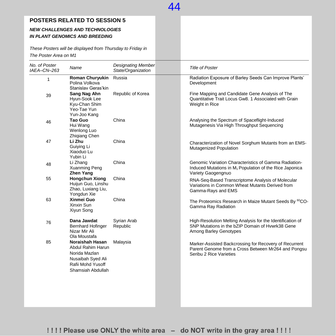#### **POSTERS RELATED TO SESSION 5**

#### *NEW CHALLENGES AND TECHNOLOGIES IN PLANT GENOMICS AND BREEDING*

*These Posters will be displayed from Thursday to Friday in The Poster Area on M1*

| No. of Poster<br>IAEA-CN-263 | Name                                                                                                                 | <b>Designating Member</b><br>State/Organization | <b>Title of Poster</b>                                                                                                                             |
|------------------------------|----------------------------------------------------------------------------------------------------------------------|-------------------------------------------------|----------------------------------------------------------------------------------------------------------------------------------------------------|
| $\mathbf{1}$                 | <b>Roman Churyukin</b><br>Polina Volkova<br>Stanislav Geras'kin                                                      | Russia                                          | Radiation Exposure of Barley Seeds Can Improve Plants'<br>Development                                                                              |
| 39                           | Sang Nag Ahn<br>Hyun-Sook Lee<br>Kyu-Chan Shim<br>Yeo-Tae Yun<br>Yun-Joo Kang                                        | Republic of Korea                               | Fine Mapping and Candidate Gene Analysis of The<br>Quantitative Trait Locus Gw8, 1 Associated with Grain<br>Weight in Rice                         |
| 46                           | Tao Guo<br>Hui Wang<br>Wenlong Luo<br>Zhiqiang Chen                                                                  | China                                           | Analysing the Spectrum of Spaceflight-Induced<br>Mutagenesis Via High Throughput Sequencing                                                        |
| 47                           | Li Zhu<br>Guiying Li<br>Xiaoduo Lu<br>Yubin Li                                                                       | China                                           | Characterization of Novel Sorghum Mutants from an EMS-<br><b>Mutagenized Population</b>                                                            |
| 48                           | Li Zhang<br>Xuanming Peng<br><b>Zhen Yang</b>                                                                        | China                                           | Genomic Variation Characteristics of Gamma Radiation-<br>Induced Mutations in M <sub>1</sub> Population of the Rice Japonica<br>Variety Gaogengnuo |
| 55                           | <b>Hongchun Xiong</b><br>Huijun Guo, Linshu<br>Zhao, Luxiang Liu,<br>Yongdun Xie                                     | China                                           | RNA-Seq-Based Transcriptome Analysis of Molecular<br>Variations in Common Wheat Mutants Derived from<br>Gamma-Rays and EMS                         |
| 63                           | Xinmei Guo<br>Xinxin Sun<br>Xiyun Song                                                                               | China                                           | The Proteomics Research in Maize Mutant Seeds By <sup>60</sup> CO-<br>Gamma Ray Radiation                                                          |
| 76                           | Dana Jawdat<br><b>Bernhard Hofinger</b><br>Nizar Mir Ali<br>Ola Moustafa                                             | Syrian Arab<br>Republic                         | High-Resolution Melting Analysis for the Identification of<br>SNP Mutations in the bZIP Domain of Hvwrk38 Gene<br><b>Among Barley Genotypes</b>    |
| 85                           | Noraishah Hasan<br>Abdul Rahim Harun<br>Norida Mazlan<br>Nusaibah Syed Ali<br>Rafii Mohd Yusoff<br>Shamsiah Abdullah | Malaysia                                        | Marker-Assisted Backcrossing for Recovery of Recurrent<br>Parent Genome from a Cross Between Mr264 and Pongsu<br>Seribu 2 Rice Varieties           |
|                              |                                                                                                                      |                                                 |                                                                                                                                                    |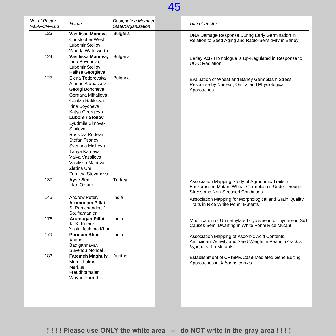| No. of Poster<br>IAEA-CN-263 | Name                                                                                                                                                                                                                                                                                                                                                 | <b>Designating Member</b><br>State/Organization | <b>Title of Poster</b>                                                                                                                      |
|------------------------------|------------------------------------------------------------------------------------------------------------------------------------------------------------------------------------------------------------------------------------------------------------------------------------------------------------------------------------------------------|-------------------------------------------------|---------------------------------------------------------------------------------------------------------------------------------------------|
| 123                          | Vasilissa Manova<br><b>Christopher West</b><br>Lubomir Stoilov<br>Wanda Waterworth                                                                                                                                                                                                                                                                   | <b>Bulgaria</b>                                 | DNA Damage Response During Early Germination in<br>Relation to Seed Aging and Radio-Sensitivity in Barley                                   |
| 124                          | Vasilissa Manova.<br>Irina Boycheva,<br>Lubomir Stoilov,<br>Ralitsa Georgieva                                                                                                                                                                                                                                                                        | <b>Bulgaria</b>                                 | Barley Act7 Homologue is Up-Regulated in Response to<br><b>UC-C Radiation</b>                                                               |
| 127                          | Elena Todorovska<br>Atanas Atanassov<br>Georgi Boncheva<br>Gergana Mihailova<br>Goritza Rakleova<br>Irina Boycheva<br>Katya Georgieva<br><b>Lubomir Stoilov</b><br>Lyudmila Simova-<br>Stoilova<br>Rossitza Rodeva<br>Stefan Tsonev<br>Svetlana Misheva<br>Tanya Karceva<br>Valya Vassileva<br>Vasilissa Manova<br>Zlatina Uhr<br>Zornitsa Stoyanova | <b>Bulgaria</b>                                 | Evaluation of Wheat and Barley Germplasm Stress<br>Response by Nuclear, Omics and Physiological<br>Approaches                               |
| 137                          | Ayse Sen<br>Irfan Ozturk                                                                                                                                                                                                                                                                                                                             | Turkey                                          | Association Mapping Study of Agronomic Traits in<br>Backcrossed Mutant Wheat Germplasms Under Drought<br>Stress and Non-Stressed Conditions |
| 145                          | Andrew Peter,<br>Arumugam Pillai,<br>S. Ramchander, J.<br>Souframanien                                                                                                                                                                                                                                                                               | India                                           | Association Mapping for Morphological and Grain Quality<br>Traits in Rice White Ponni Mutants                                               |
| 176                          | <b>ArumugamPillai</b><br>K. K. Kumar<br>Yasin Jeshima Khan                                                                                                                                                                                                                                                                                           | India                                           | Modification of Unmethylated Cytosine into Thymine in Sd1<br>Causes Semi Dwarfing in White Ponni Rice Mutant                                |
| 179                          | <b>Poonam Bhad</b><br>Anand<br>Badigannavar,<br>Suvendu Mondal                                                                                                                                                                                                                                                                                       | India                                           | Association Mapping of Ascorbic Acid Contents,<br>Antioxidant Activity and Seed Weight in Peanut (Arachis<br>hypogaea L.) Mutants.          |
| 183                          | <b>Fatemeh Maghuly</b><br>Margit Laimer<br><b>Markus</b><br>Freudhofmaier<br><b>Wayne Parrott</b>                                                                                                                                                                                                                                                    | Austria                                         | Establishment of CRISPR/Cas9-Mediated Gene Editing<br>Approaches in Jatropha curcas                                                         |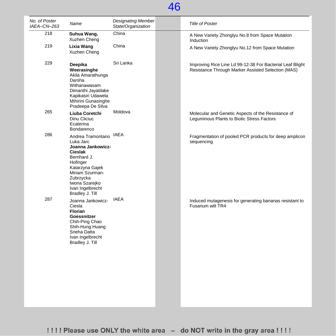| No. of Poster<br>IAEA-CN-263 | Name                                                                                                                                                                                                         | <b>Designating Member</b><br>State/Organization | <b>Title of Poster</b>                                                                                          |
|------------------------------|--------------------------------------------------------------------------------------------------------------------------------------------------------------------------------------------------------------|-------------------------------------------------|-----------------------------------------------------------------------------------------------------------------|
| 218                          | Suhua Wang,<br>Xuzhen Cheng                                                                                                                                                                                  | China                                           | A New Variety Zhonglyu No.8 from Space Mutation<br>Induction                                                    |
| 219                          | Lixia Wang<br>Xuzhen Cheng                                                                                                                                                                                   | China                                           | A New Variety Zhonglyu No.12 from Space Mutation                                                                |
| 229                          | Deepika<br>Weerasinghe<br>Akila Amarathunga<br>Darsha<br>Withanawasam<br>Dimanthi Jayatilake<br>Kapikasiri Udawela<br>Mihirini Gunasinghe<br>Pradeepa De Silva                                               | Sri Lanka                                       | Improving Rice Line Ld 99-12-38 For Bacterial Leaf Blight<br>Resistance Through Marker Assisted Selection (MAS) |
| 265                          | Liuba Coretchi<br>Dinu Cliciuc<br>Ecaterina<br>Bondarenco                                                                                                                                                    | Moldova                                         | Molecular and Genetic Aspects of the Resistance of<br>Leguminous Plants to Biotic Stress Factors                |
| 286                          | Andrea Tramontano<br>Luka Jarc<br>Joanna Jankowicz-<br><b>Cieslak</b><br>Bernhard J.<br>Hofinger<br>Katarzyna Gajek<br>Miriam Szurman-<br>Zubrzycka<br>Iwona Szarejko<br>Ivan Ingelbrecht<br>Bradley J. Till | <b>IAEA</b>                                     | Fragmentation of pooled PCR products for deep amplicon<br>sequencing                                            |
| 287                          | Joanna Jankowicz-<br>Ciesla<br><b>Florian</b><br>Goessnitzer<br>Chih-Ping Chao<br>Shih-Hung Huang<br>Sneha Datta<br>Ivan Ingelbrecht<br>Bradley J. Till                                                      | <b>IAEA</b>                                     | Induced mutagenesis for generating bananas resistant to<br>Fusarium wilt TR4                                    |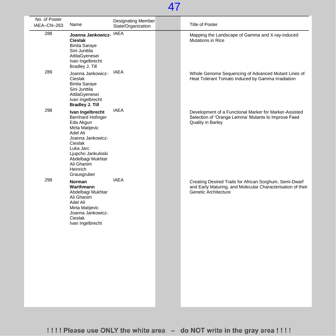| No. of Poster<br>IAEA-CN-263 | Name                                                                                                                                                                                                                      | <b>Designating Member</b><br>State/Organization | <b>Title of Poster</b>                                                                                                                         |
|------------------------------|---------------------------------------------------------------------------------------------------------------------------------------------------------------------------------------------------------------------------|-------------------------------------------------|------------------------------------------------------------------------------------------------------------------------------------------------|
| 288                          | Joanna Jankowicz-<br><b>Cieslak</b><br><b>Binita Saraye</b><br>Sini Junttila<br>AttilaGyenesei<br>Ivan Ingelbrecht<br>Bradley J. Till                                                                                     | <b>IAEA</b>                                     | Mapping the Landscape of Gamma and X-ray-induced<br><b>Mutations in Rice</b>                                                                   |
| 289                          | Joanna Jankowicz-<br>Cieslak<br><b>Binita Saraye</b><br>Sini Junttila<br>AttilaGyenesei<br>Ivan Ingelbrecht<br><b>Bradley J. Till</b>                                                                                     | <b>IAEA</b>                                     | Whole Genome Sequencing of Advanced Mutant Lines of<br>Heat Tolerant Tomato Induced by Gamma Irradiation                                       |
| 298                          | Ivan Ingelbrecht<br><b>Bernhard Hofinger</b><br>Eda Akgun<br>Mirta Matijevic<br>Adel Ali<br>Joanna Jankowicz-<br>Cieslak<br>Luka Jarc<br>Ljupcho Jankuloski<br>Abdelbagi Mukhtar<br>Ali Ghanim<br>Heinrich<br>Grausgruber | <b>IAEA</b>                                     | Development of a Functional Marker for Marker-Assisted<br>Selection of 'Orange Lemma' Mutants to Improve Feed<br>Quality in Barley             |
| 299                          | Norman<br>Warthmann<br>Abdelbagi Mukhtar<br>Ali Ghanim<br>Adel Ali<br>Mirta Matijevic<br>Joanna Jankowicz-<br>Cieslak<br>Ivan Ingelbrecht                                                                                 | <b>IAEA</b>                                     | Creating Desired Traits for African Sorghum, Semi-Dwarf<br>and Early Maturing, and Molecular Characterisation of their<br>Genetic Architecture |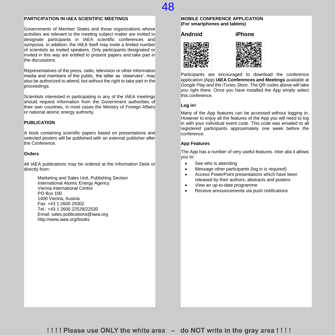#### **PARTICIPATION IN IAEA SCIENTIFIC MEETINGS**

Governments of Member States and those organizations whose activities are relevant to the meeting subject matter are invited to designate participants in IAEA scientific conferences and symposia. In addition, the IAEA itself may invite a limited number of scientists as invited speakers. Only participants designated or invited in this way are entitled to present papers and take part in the discussions.

Representatives of the press, radio, television or other information media and members of the public, the latter as 'observers', may also be authorized to attend, but without the right to take part in the proceedings.

Scientists interested in participating in any of the IAEA meetings should request information from the Government authorities of their own countries, in most cases the Ministry of Foreign Affairs or national atomic energy authority.

#### **PUBLICATION**

A book containing scientific papers based on presentations and selected posters will be published with an external publisher after the Conference.

#### **Orders**

All IAEA publications may be ordered at the Information Desk or directly from:

> Marketing and Sales Unit, Publishing Section International Atomic Energy Agency Vienna International Centre PO Box 100 1400 Vienna, Austria Fax: +43 1 2600 29302 Tel.: +43 1 2600 22529/22530 Email: sales.publications@iaea.org http://www.iaea.org/books

#### **MOBILE CONFERENCE APPLICATION (For smartphones and tablets)**

48

**Android iPhone**





Participants are encouraged to download the conference application (App) **IAEA Conferences and Meetings** available at *Google Play* and the *iTunes Store*. The QR codes above will take you right there. Once you have installed the App simply select this conference.

#### **Log in!**

Many of the App features can be accessed without logging in. However to enjoy all the features of the App you will need to log in with your individual event code. This code was emailed to all registered participants approximately one week before the conference.

#### **App Features**

The App has a number of very useful features. Inter alia it allows you to:

- See who is attending
- Message other participants (log in is required)
- Access PowerPoint presentations which have been released by their authors, abstracts and posters
- View an up-to-date programme
- Receive announcements via push notifications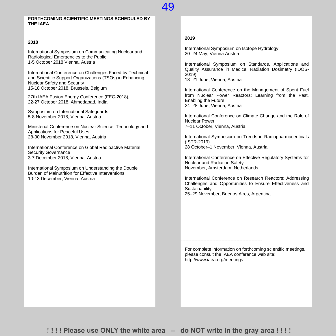#### **FORTHCOMING SCIENTIFIC MEETINGS SCHEDULED BY THE IAEA**

#### **2018**

International Symposium on Communicating Nuclear and Radiological Emergencies to the Public 1-5 October 2018 Vienna, Austria

International Conference on Challenges Faced by Technical and Scientific Support Organizations (TSOs) in Enhancing Nuclear Safety and Security 15-18 October 2018, Brussels, Belgium

27th IAEA Fusion Energy Conference (FEC-2018), 22-27 October 2018, Ahmedabad, India

Symposium on International Safeguards, 5-8 November 2018, Vienna, Austria

Ministerial Conference on Nuclear Science, Technology and Applications for Peaceful Uses 28-30 November 2018, Vienna, Austria

International Conference on Global Radioactive Material Security Governance 3-7 December 2018, Vienna, Austria

International Symposium on Understanding the Double Burden of Malnutrition for Effective Interventions 10-13 December, Vienna, Austria

#### **2019**

49

International Symposium on Isotope Hydrology 20–24 May, Vienna Austria

International Symposium on Standards, Applications and Quality Assurance in Medical Radiation Dosimetry (IDOS-2019) 18–21 June, Vienna, Austria

International Conference on the Management of Spent Fuel from Nuclear Power Reactors: Learning from the Past, Enabling the Future 24–28 June, Vienna, Austria

International Conference on Climate Change and the Role of Nuclear Power 7–11 October, Vienna, Austria

International Symposium on Trends in Radiopharmaceuticals (ISTR-2019) 28 October–1 November, Vienna, Austria

International Conference on Effective Regulatory Systems for Nuclear and Radiation Safety November, Amsterdam, Netherlands

International Conference on Research Reactors: Addressing Challenges and Opportunities to Ensure Effectiveness and **Sustainability** 25–29 November, Buenos Aires, Argentina

For complete information on forthcoming scientific meetings, please consult the IAEA conference web site: http://www.iaea.org/meetings

------------------------------------------------------